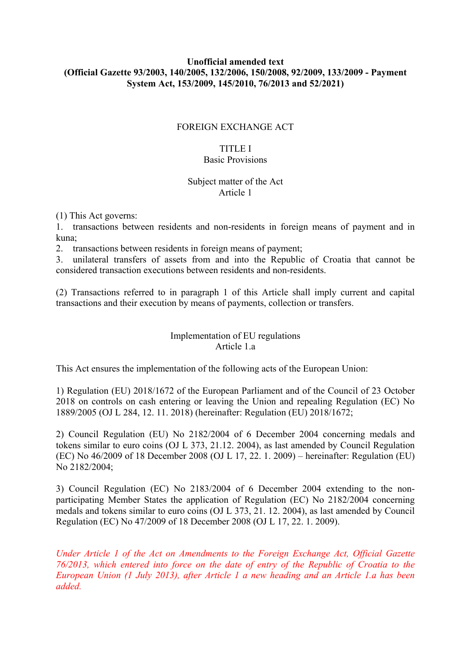### **Unofficial amended text (Official Gazette 93/2003, 140/2005, 132/2006, 150/2008, 92/2009, 133/2009 - Payment System Act, 153/2009, 145/2010, 76/2013 and 52/2021)**

#### FOREIGN EXCHANGE ACT

#### TITLE I Basic Provisions

# Subject matter of the Act

Article 1

(1) This Act governs:

1. transactions between residents and non-residents in foreign means of payment and in kuna;

2. transactions between residents in foreign means of payment;

3. unilateral transfers of assets from and into the Republic of Croatia that cannot be considered transaction executions between residents and non-residents.

(2) Transactions referred to in paragraph 1 of this Article shall imply current and capital transactions and their execution by means of payments, collection or transfers.

# Implementation of EU regulations Article 1.a

This Act ensures the implementation of the following acts of the European Union:

1) Regulation (EU) 2018/1672 of the European Parliament and of the Council of 23 October 2018 on controls on cash entering or leaving the Union and repealing Regulation (EC) No 1889/2005 (OJ L 284, 12. 11. 2018) (hereinafter: Regulation (EU) 2018/1672;

2) Council Regulation (EU) No 2182/2004 of 6 December 2004 concerning medals and tokens similar to euro coins (OJ L 373, 21.12. 2004), as last amended by Council Regulation (EC) No 46/2009 of 18 December 2008 (OJ L 17, 22. 1. 2009) – hereinafter: Regulation (EU) No 2182/2004;

3) Council Regulation (EC) No 2183/2004 of 6 December 2004 extending to the nonparticipating Member States the application of Regulation (EC) No 2182/2004 concerning medals and tokens similar to euro coins (OJ L 373, 21. 12. 2004), as last amended by Council Regulation (EC) No 47/2009 of 18 December 2008 (OJ L 17, 22. 1. 2009).

*Under Article 1 of the Act on Amendments to the Foreign Exchange Act, Official Gazette 76/2013, which entered into force on the date of entry of the Republic of Croatia to the European Union (1 July 2013), after Article 1 a new heading and an Article 1.a has been added.*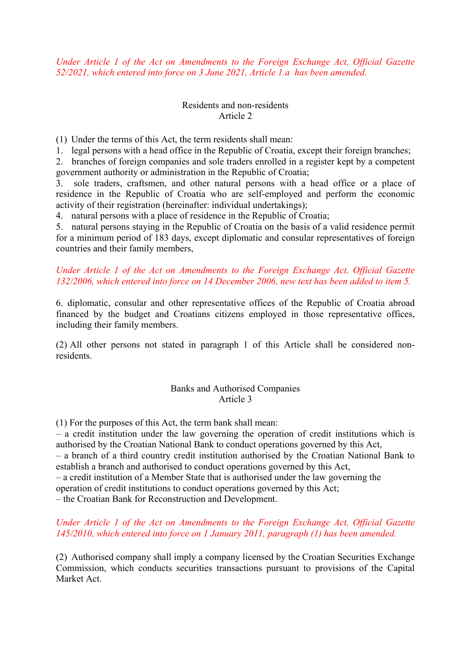*Under Article 1 of the Act on Amendments to the Foreign Exchange Act, Official Gazette 52/2021, which entered into force on 3 June 2021, Article 1.a has been amended.* 

#### Residents and non-residents Article 2

(1) Under the terms of this Act, the term residents shall mean:

1. legal persons with a head office in the Republic of Croatia, except their foreign branches;

2. branches of foreign companies and sole traders enrolled in a register kept by a competent government authority or administration in the Republic of Croatia;

3. sole traders, craftsmen, and other natural persons with a head office or a place of residence in the Republic of Croatia who are self-employed and perform the economic activity of their registration (hereinafter: individual undertakings);

4. natural persons with a place of residence in the Republic of Croatia;

5. natural persons staying in the Republic of Croatia on the basis of a valid residence permit for a minimum period of 183 days, except diplomatic and consular representatives of foreign countries and their family members,

# *Under Article 1 of the Act on Amendments to the Foreign Exchange Act, Official Gazette 132/2006, which entered into force on 14 December 2006, new text has been added to item 5.*

6. diplomatic, consular and other representative offices of the Republic of Croatia abroad financed by the budget and Croatians citizens employed in those representative offices, including their family members.

(2) All other persons not stated in paragraph 1 of this Article shall be considered nonresidents.

#### Banks and Authorised Companies Article 3

(1) For the purposes of this Act, the term bank shall mean:

– a credit institution under the law governing the operation of credit institutions which is authorised by the Croatian National Bank to conduct operations governed by this Act,

– a branch of a third country credit institution authorised by the Croatian National Bank to establish a branch and authorised to conduct operations governed by this Act,

– a credit institution of a Member State that is authorised under the law governing the

operation of credit institutions to conduct operations governed by this Act;

– the Croatian Bank for Reconstruction and Development.

# *Under Article 1 of the Act on Amendments to the Foreign Exchange Act, Official Gazette 145/2010, which entered into force on 1 January 2011, paragraph (1) has been amended.*

(2) Authorised company shall imply a company licensed by the Croatian Securities Exchange Commission, which conducts securities transactions pursuant to provisions of the Capital Market Act.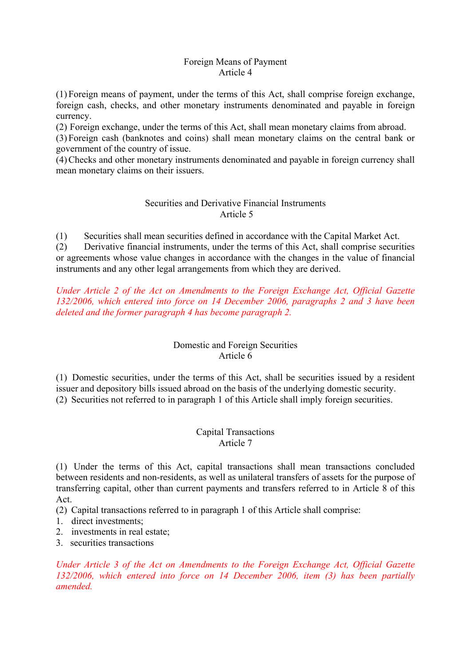#### Foreign Means of Payment Article 4

(1) Foreign means of payment, under the terms of this Act, shall comprise foreign exchange, foreign cash, checks, and other monetary instruments denominated and payable in foreign currency.

(2) Foreign exchange, under the terms of this Act, shall mean monetary claims from abroad.

(3) Foreign cash (banknotes and coins) shall mean monetary claims on the central bank or government of the country of issue.

(4)Checks and other monetary instruments denominated and payable in foreign currency shall mean monetary claims on their issuers.

# Securities and Derivative Financial Instruments Article 5

(1) Securities shall mean securities defined in accordance with the Capital Market Act.

(2) Derivative financial instruments, under the terms of this Act, shall comprise securities or agreements whose value changes in accordance with the changes in the value of financial instruments and any other legal arrangements from which they are derived.

*Under Article 2 of the Act on Amendments to the Foreign Exchange Act, Official Gazette 132/2006, which entered into force on 14 December 2006, paragraphs 2 and 3 have been deleted and the former paragraph 4 has become paragraph 2.* 

# Domestic and Foreign Securities Article 6

(1) Domestic securities, under the terms of this Act, shall be securities issued by a resident issuer and depository bills issued abroad on the basis of the underlying domestic security. (2) Securities not referred to in paragraph 1 of this Article shall imply foreign securities.

# Capital Transactions Article 7

(1) Under the terms of this Act, capital transactions shall mean transactions concluded between residents and non-residents, as well as unilateral transfers of assets for the purpose of transferring capital, other than current payments and transfers referred to in Article 8 of this Act.

(2) Capital transactions referred to in paragraph 1 of this Article shall comprise:

1. direct investments;

2. investments in real estate;

3. securities transactions

*Under Article 3 of the Act on Amendments to the Foreign Exchange Act, Official Gazette 132/2006, which entered into force on 14 December 2006, item (3) has been partially amended.*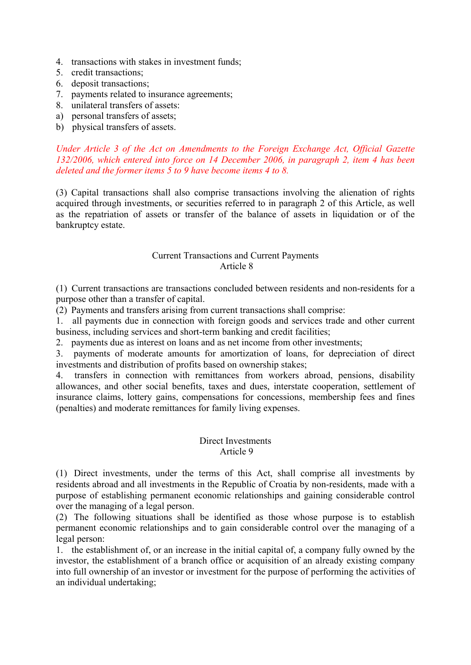- 4. transactions with stakes in investment funds;
- 5. credit transactions;
- 6. deposit transactions;
- 7. payments related to insurance agreements;
- 8. unilateral transfers of assets:
- a) personal transfers of assets;
- b) physical transfers of assets.

#### *Under Article 3 of the Act on Amendments to the Foreign Exchange Act, Official Gazette 132/2006, which entered into force on 14 December 2006, in paragraph 2, item 4 has been deleted and the former items 5 to 9 have become items 4 to 8.*

(3) Capital transactions shall also comprise transactions involving the alienation of rights acquired through investments, or securities referred to in paragraph 2 of this Article, as well as the repatriation of assets or transfer of the balance of assets in liquidation or of the bankruptcy estate.

#### Current Transactions and Current Payments Article 8

(1) Current transactions are transactions concluded between residents and non-residents for a purpose other than a transfer of capital.

(2) Payments and transfers arising from current transactions shall comprise:

1. all payments due in connection with foreign goods and services trade and other current business, including services and short-term banking and credit facilities;

2. payments due as interest on loans and as net income from other investments;

3. payments of moderate amounts for amortization of loans, for depreciation of direct investments and distribution of profits based on ownership stakes;

4. transfers in connection with remittances from workers abroad, pensions, disability allowances, and other social benefits, taxes and dues, interstate cooperation, settlement of insurance claims, lottery gains, compensations for concessions, membership fees and fines (penalties) and moderate remittances for family living expenses.

#### Direct Investments Article 9

(1) Direct investments, under the terms of this Act, shall comprise all investments by residents abroad and all investments in the Republic of Croatia by non-residents, made with a purpose of establishing permanent economic relationships and gaining considerable control over the managing of a legal person.

(2) The following situations shall be identified as those whose purpose is to establish permanent economic relationships and to gain considerable control over the managing of a legal person:

1. the establishment of, or an increase in the initial capital of, a company fully owned by the investor, the establishment of a branch office or acquisition of an already existing company into full ownership of an investor or investment for the purpose of performing the activities of an individual undertaking;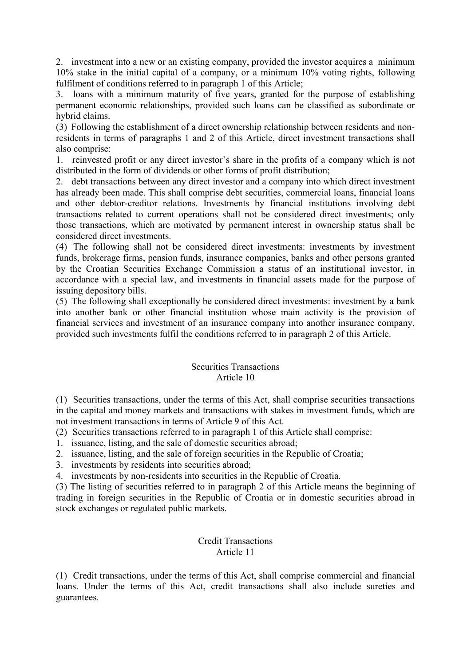2. investment into a new or an existing company, provided the investor acquires a minimum 10% stake in the initial capital of a company, or a minimum 10% voting rights, following fulfilment of conditions referred to in paragraph 1 of this Article;

3. loans with a minimum maturity of five years, granted for the purpose of establishing permanent economic relationships, provided such loans can be classified as subordinate or hybrid claims.

(3) Following the establishment of a direct ownership relationship between residents and nonresidents in terms of paragraphs 1 and 2 of this Article, direct investment transactions shall also comprise:

1. reinvested profit or any direct investor's share in the profits of a company which is not distributed in the form of dividends or other forms of profit distribution;

2. debt transactions between any direct investor and a company into which direct investment has already been made. This shall comprise debt securities, commercial loans, financial loans and other debtor-creditor relations. Investments by financial institutions involving debt transactions related to current operations shall not be considered direct investments; only those transactions, which are motivated by permanent interest in ownership status shall be considered direct investments.

(4) The following shall not be considered direct investments: investments by investment funds, brokerage firms, pension funds, insurance companies, banks and other persons granted by the Croatian Securities Exchange Commission a status of an institutional investor, in accordance with a special law, and investments in financial assets made for the purpose of issuing depository bills.

(5) The following shall exceptionally be considered direct investments: investment by a bank into another bank or other financial institution whose main activity is the provision of financial services and investment of an insurance company into another insurance company, provided such investments fulfil the conditions referred to in paragraph 2 of this Article.

# Securities Transactions Article 10

(1) Securities transactions, under the terms of this Act, shall comprise securities transactions in the capital and money markets and transactions with stakes in investment funds, which are not investment transactions in terms of Article 9 of this Act.

(2) Securities transactions referred to in paragraph 1 of this Article shall comprise:

- 1. issuance, listing, and the sale of domestic securities abroad;
- 2. issuance, listing, and the sale of foreign securities in the Republic of Croatia;
- 3. investments by residents into securities abroad;
- 4. investments by non-residents into securities in the Republic of Croatia.

(3) The listing of securities referred to in paragraph 2 of this Article means the beginning of trading in foreign securities in the Republic of Croatia or in domestic securities abroad in stock exchanges or regulated public markets.

#### Credit Transactions Article 11

(1) Credit transactions, under the terms of this Act, shall comprise commercial and financial loans. Under the terms of this Act, credit transactions shall also include sureties and guarantees.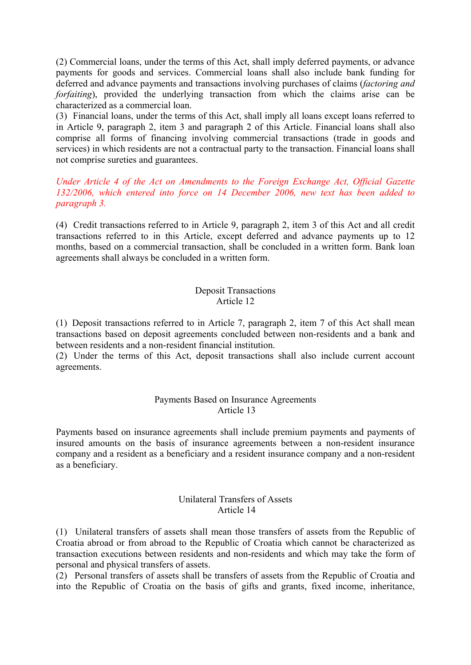(2) Commercial loans, under the terms of this Act, shall imply deferred payments, or advance payments for goods and services. Commercial loans shall also include bank funding for deferred and advance payments and transactions involving purchases of claims (*factoring and forfaiting*), provided the underlying transaction from which the claims arise can be characterized as a commercial loan.

(3) Financial loans, under the terms of this Act, shall imply all loans except loans referred to in Article 9, paragraph 2, item 3 and paragraph 2 of this Article. Financial loans shall also comprise all forms of financing involving commercial transactions (trade in goods and services) in which residents are not a contractual party to the transaction. Financial loans shall not comprise sureties and guarantees.

# *Under Article 4 of the Act on Amendments to the Foreign Exchange Act, Official Gazette 132/2006, which entered into force on 14 December 2006, new text has been added to paragraph 3.*

(4) Credit transactions referred to in Article 9, paragraph 2, item 3 of this Act and all credit transactions referred to in this Article, except deferred and advance payments up to 12 months, based on a commercial transaction, shall be concluded in a written form. Bank loan agreements shall always be concluded in a written form.

#### Deposit Transactions Article 12

(1) Deposit transactions referred to in Article 7, paragraph 2, item 7 of this Act shall mean transactions based on deposit agreements concluded between non-residents and a bank and between residents and a non-resident financial institution.

(2) Under the terms of this Act, deposit transactions shall also include current account agreements.

#### Payments Based on Insurance Agreements Article 13

Payments based on insurance agreements shall include premium payments and payments of insured amounts on the basis of insurance agreements between a non-resident insurance company and a resident as a beneficiary and a resident insurance company and a non-resident as a beneficiary.

### Unilateral Transfers of Assets Article 14

(1) Unilateral transfers of assets shall mean those transfers of assets from the Republic of Croatia abroad or from abroad to the Republic of Croatia which cannot be characterized as transaction executions between residents and non-residents and which may take the form of personal and physical transfers of assets.

(2) Personal transfers of assets shall be transfers of assets from the Republic of Croatia and into the Republic of Croatia on the basis of gifts and grants, fixed income, inheritance,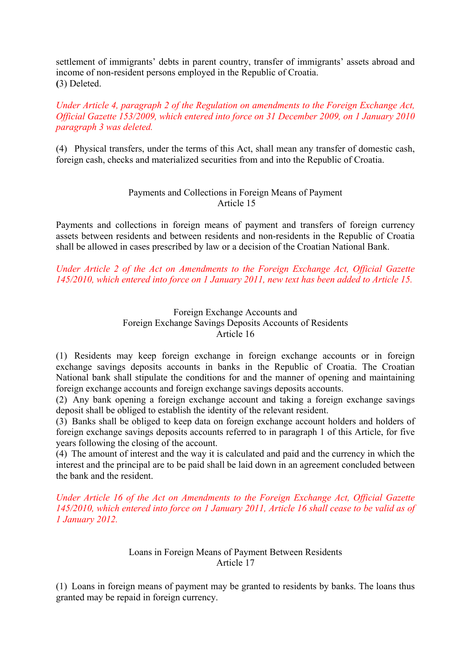settlement of immigrants' debts in parent country, transfer of immigrants' assets abroad and income of non-resident persons employed in the Republic of Croatia. **(**3) Deleted.

### *Under Article 4, paragraph 2 of the Regulation on amendments to the Foreign Exchange Act, Official Gazette 153/2009, which entered into force on 31 December 2009, on 1 January 2010 paragraph 3 was deleted.*

(4) Physical transfers, under the terms of this Act, shall mean any transfer of domestic cash, foreign cash, checks and materialized securities from and into the Republic of Croatia.

# Payments and Collections in Foreign Means of Payment Article 15

Payments and collections in foreign means of payment and transfers of foreign currency assets between residents and between residents and non-residents in the Republic of Croatia shall be allowed in cases prescribed by law or a decision of the Croatian National Bank.

*Under Article 2 of the Act on Amendments to the Foreign Exchange Act, Official Gazette 145/2010, which entered into force on 1 January 2011, new text has been added to Article 15.* 

#### Foreign Exchange Accounts and Foreign Exchange Savings Deposits Accounts of Residents Article 16

(1) Residents may keep foreign exchange in foreign exchange accounts or in foreign exchange savings deposits accounts in banks in the Republic of Croatia. The Croatian National bank shall stipulate the conditions for and the manner of opening and maintaining foreign exchange accounts and foreign exchange savings deposits accounts.

(2) Any bank opening a foreign exchange account and taking a foreign exchange savings deposit shall be obliged to establish the identity of the relevant resident.

(3) Banks shall be obliged to keep data on foreign exchange account holders and holders of foreign exchange savings deposits accounts referred to in paragraph 1 of this Article, for five years following the closing of the account.

(4) The amount of interest and the way it is calculated and paid and the currency in which the interest and the principal are to be paid shall be laid down in an agreement concluded between the bank and the resident.

*Under Article 16 of the Act on Amendments to the Foreign Exchange Act, Official Gazette 145/2010, which entered into force on 1 January 2011, Article 16 shall cease to be valid as of 1 January 2012.*

# Loans in Foreign Means of Payment Between Residents Article 17

(1) Loans in foreign means of payment may be granted to residents by banks. The loans thus granted may be repaid in foreign currency.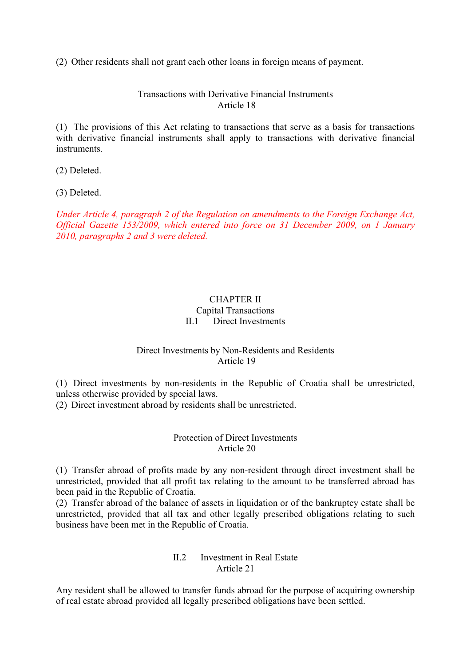(2) Other residents shall not grant each other loans in foreign means of payment.

Transactions with Derivative Financial Instruments Article 18

(1) The provisions of this Act relating to transactions that serve as a basis for transactions with derivative financial instruments shall apply to transactions with derivative financial instruments.

(2) Deleted.

(3) Deleted.

*Under Article 4, paragraph 2 of the Regulation on amendments to the Foreign Exchange Act, Official Gazette 153/2009, which entered into force on 31 December 2009, on 1 January 2010, paragraphs 2 and 3 were deleted.* 

# CHAPTER II Capital Transactions II.1 Direct Investments

#### Direct Investments by Non-Residents and Residents Article 19

(1) Direct investments by non-residents in the Republic of Croatia shall be unrestricted, unless otherwise provided by special laws.

(2) Direct investment abroad by residents shall be unrestricted.

# Protection of Direct Investments Article 20

(1) Transfer abroad of profits made by any non-resident through direct investment shall be unrestricted, provided that all profit tax relating to the amount to be transferred abroad has been paid in the Republic of Croatia.

(2) Transfer abroad of the balance of assets in liquidation or of the bankruptcy estate shall be unrestricted, provided that all tax and other legally prescribed obligations relating to such business have been met in the Republic of Croatia.

# II.2 Investment in Real Estate Article 21

Any resident shall be allowed to transfer funds abroad for the purpose of acquiring ownership of real estate abroad provided all legally prescribed obligations have been settled.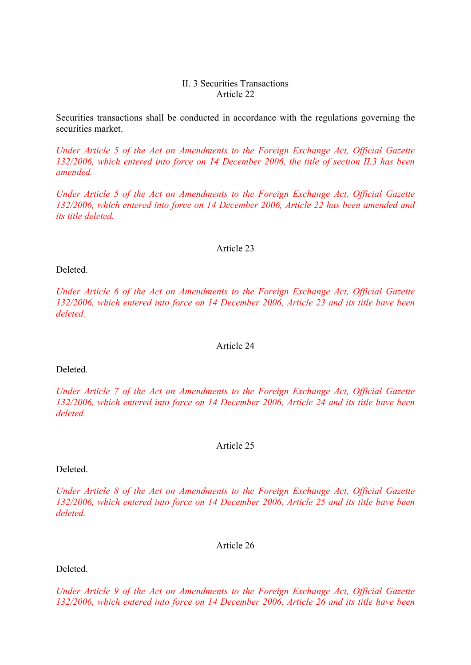#### II. 3 Securities Transactions Article 22

Securities transactions shall be conducted in accordance with the regulations governing the securities market.

*Under Article 5 of the Act on Amendments to the Foreign Exchange Act, Official Gazette 132/2006, which entered into force on 14 December 2006, the title of section II.3 has been amended.* 

*Under Article 5 of the Act on Amendments to the Foreign Exchange Act, Official Gazette 132/2006, which entered into force on 14 December 2006, Article 22 has been amended and its title deleted.*

#### Article 23

Deleted.

*Under Article 6 of the Act on Amendments to the Foreign Exchange Act, Official Gazette 132/2006, which entered into force on 14 December 2006, Article 23 and its title have been deleted.* 

#### Article 24

Deleted.

*Under Article 7 of the Act on Amendments to the Foreign Exchange Act, Official Gazette 132/2006, which entered into force on 14 December 2006, Article 24 and its title have been deleted.* 

#### Article 25

Deleted.

*Under Article 8 of the Act on Amendments to the Foreign Exchange Act, Official Gazette 132/2006, which entered into force on 14 December 2006, Article 25 and its title have been deleted.* 

Article 26

Deleted.

*Under Article 9 of the Act on Amendments to the Foreign Exchange Act, Official Gazette 132/2006, which entered into force on 14 December 2006, Article 26 and its title have been*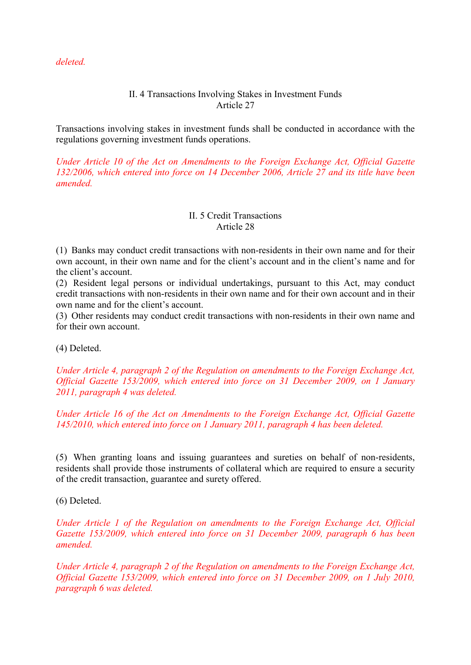*deleted.* 

# II. 4 Transactions Involving Stakes in Investment Funds Article 27

Transactions involving stakes in investment funds shall be conducted in accordance with the regulations governing investment funds operations.

*Under Article 10 of the Act on Amendments to the Foreign Exchange Act, Official Gazette 132/2006, which entered into force on 14 December 2006, Article 27 and its title have been amended.*

### II. 5 Credit Transactions Article 28

(1) Banks may conduct credit transactions with non-residents in their own name and for their own account, in their own name and for the client's account and in the client's name and for the client's account.

(2) Resident legal persons or individual undertakings, pursuant to this Act, may conduct credit transactions with non-residents in their own name and for their own account and in their own name and for the client's account.

(3) Other residents may conduct credit transactions with non-residents in their own name and for their own account.

(4) Deleted.

*Under Article 4, paragraph 2 of the Regulation on amendments to the Foreign Exchange Act, Official Gazette 153/2009, which entered into force on 31 December 2009, on 1 January 2011, paragraph 4 was deleted.* 

*Under Article 16 of the Act on Amendments to the Foreign Exchange Act, Official Gazette 145/2010, which entered into force on 1 January 2011, paragraph 4 has been deleted.* 

(5) When granting loans and issuing guarantees and sureties on behalf of non-residents, residents shall provide those instruments of collateral which are required to ensure a security of the credit transaction, guarantee and surety offered.

(6) Deleted.

*Under Article 1 of the Regulation on amendments to the Foreign Exchange Act, Official Gazette 153/2009, which entered into force on 31 December 2009, paragraph 6 has been amended.* 

*Under Article 4, paragraph 2 of the Regulation on amendments to the Foreign Exchange Act, Official Gazette 153/2009, which entered into force on 31 December 2009, on 1 July 2010, paragraph 6 was deleted.*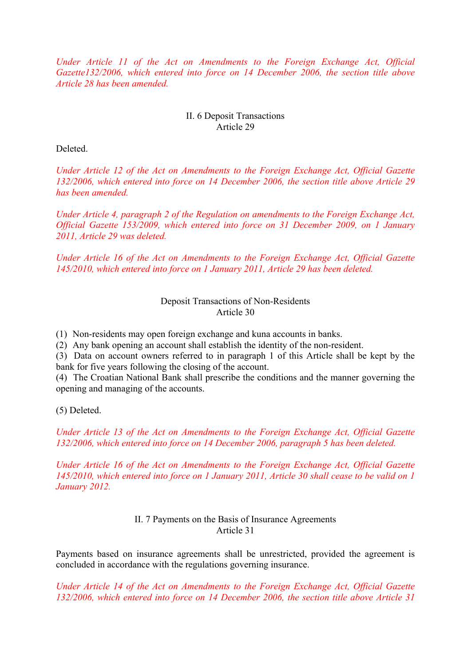*Under Article 11 of the Act on Amendments to the Foreign Exchange Act, Official Gazette132/2006, which entered into force on 14 December 2006, the section title above Article 28 has been amended.* 

### II. 6 Deposit Transactions Article 29

Deleted.

*Under Article 12 of the Act on Amendments to the Foreign Exchange Act, Official Gazette 132/2006, which entered into force on 14 December 2006, the section title above Article 29 has been amended.* 

*Under Article 4, paragraph 2 of the Regulation on amendments to the Foreign Exchange Act, Official Gazette 153/2009, which entered into force on 31 December 2009, on 1 January 2011, Article 29 was deleted.* 

*Under Article 16 of the Act on Amendments to the Foreign Exchange Act, Official Gazette 145/2010, which entered into force on 1 January 2011, Article 29 has been deleted.* 

> Deposit Transactions of Non-Residents Article 30

(1) Non-residents may open foreign exchange and kuna accounts in banks.

(2) Any bank opening an account shall establish the identity of the non-resident.

(3) Data on account owners referred to in paragraph 1 of this Article shall be kept by the bank for five years following the closing of the account.

(4) The Croatian National Bank shall prescribe the conditions and the manner governing the opening and managing of the accounts.

(5) Deleted.

*Under Article 13 of the Act on Amendments to the Foreign Exchange Act, Official Gazette 132/2006, which entered into force on 14 December 2006, paragraph 5 has been deleted.* 

*Under Article 16 of the Act on Amendments to the Foreign Exchange Act, Official Gazette 145/2010, which entered into force on 1 January 2011, Article 30 shall cease to be valid on 1 January 2012.*

# II. 7 Payments on the Basis of Insurance Agreements Article 31

Payments based on insurance agreements shall be unrestricted, provided the agreement is concluded in accordance with the regulations governing insurance.

*Under Article 14 of the Act on Amendments to the Foreign Exchange Act, Official Gazette 132/2006, which entered into force on 14 December 2006, the section title above Article 31*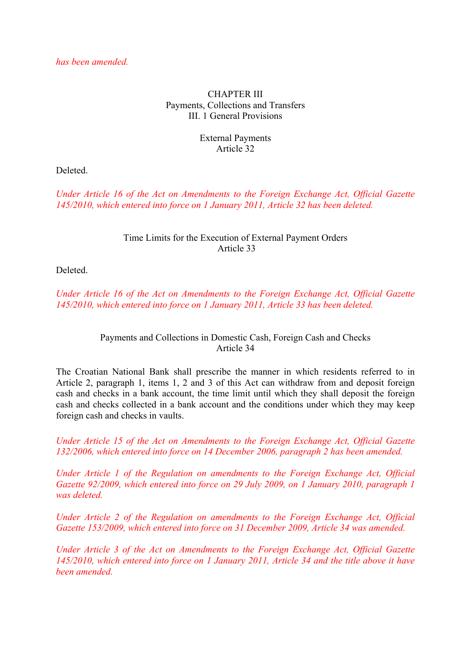CHAPTER III Payments, Collections and Transfers III. 1 General Provisions

#### External Payments Article 32

Deleted.

*Under Article 16 of the Act on Amendments to the Foreign Exchange Act, Official Gazette 145/2010, which entered into force on 1 January 2011, Article 32 has been deleted.*

### Time Limits for the Execution of External Payment Orders Article 33

Deleted.

*Under Article 16 of the Act on Amendments to the Foreign Exchange Act, Official Gazette 145/2010, which entered into force on 1 January 2011, Article 33 has been deleted.*

# Payments and Collections in Domestic Cash, Foreign Cash and Checks Article 34

The Croatian National Bank shall prescribe the manner in which residents referred to in Article 2, paragraph 1, items 1, 2 and 3 of this Act can withdraw from and deposit foreign cash and checks in a bank account, the time limit until which they shall deposit the foreign cash and checks collected in a bank account and the conditions under which they may keep foreign cash and checks in vaults.

*Under Article 15 of the Act on Amendments to the Foreign Exchange Act, Official Gazette 132/2006, which entered into force on 14 December 2006, paragraph 2 has been amended.* 

*Under Article 1 of the Regulation on amendments to the Foreign Exchange Act, Official Gazette 92/2009, which entered into force on 29 July 2009, on 1 January 2010, paragraph 1 was deleted.* 

*Under Article 2 of the Regulation on amendments to the Foreign Exchange Act, Official Gazette 153/2009, which entered into force on 31 December 2009, Article 34 was amended.* 

*Under Article 3 of the Act on Amendments to the Foreign Exchange Act, Official Gazette 145/2010, which entered into force on 1 January 2011, Article 34 and the title above it have been amended.*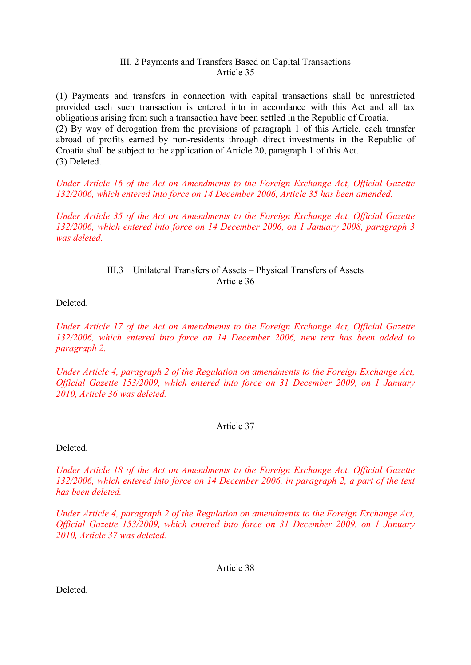#### III. 2 Payments and Transfers Based on Capital Transactions Article 35

(1) Payments and transfers in connection with capital transactions shall be unrestricted provided each such transaction is entered into in accordance with this Act and all tax obligations arising from such a transaction have been settled in the Republic of Croatia.

(2) By way of derogation from the provisions of paragraph 1 of this Article, each transfer abroad of profits earned by non-residents through direct investments in the Republic of Croatia shall be subject to the application of Article 20, paragraph 1 of this Act. (3) Deleted.

*Under Article 16 of the Act on Amendments to the Foreign Exchange Act, Official Gazette 132/2006, which entered into force on 14 December 2006, Article 35 has been amended.* 

*Under Article 35 of the Act on Amendments to the Foreign Exchange Act, Official Gazette 132/2006, which entered into force on 14 December 2006, on 1 January 2008, paragraph 3 was deleted.* 

# III.3 Unilateral Transfers of Assets – Physical Transfers of Assets Article 36

Deleted.

*Under Article 17 of the Act on Amendments to the Foreign Exchange Act, Official Gazette 132/2006, which entered into force on 14 December 2006, new text has been added to paragraph 2.* 

*Under Article 4, paragraph 2 of the Regulation on amendments to the Foreign Exchange Act, Official Gazette 153/2009, which entered into force on 31 December 2009, on 1 January 2010, Article 36 was deleted.* 

#### Article 37

Deleted.

*Under Article 18 of the Act on Amendments to the Foreign Exchange Act, Official Gazette 132/2006, which entered into force on 14 December 2006, in paragraph 2, a part of the text has been deleted.* 

*Under Article 4, paragraph 2 of the Regulation on amendments to the Foreign Exchange Act, Official Gazette 153/2009, which entered into force on 31 December 2009, on 1 January 2010, Article 37 was deleted.* 

Article 38

Deleted.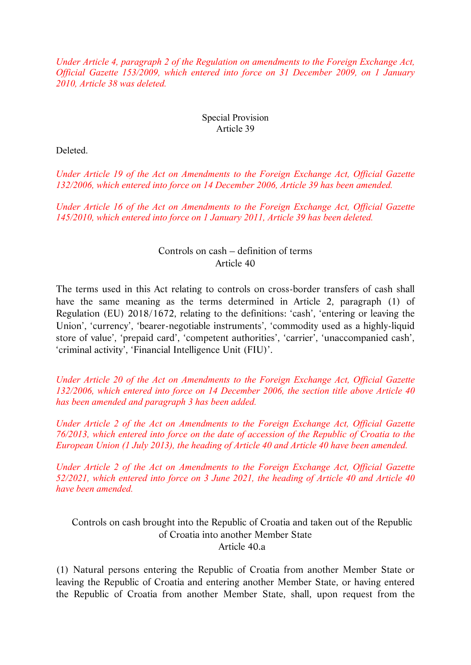*Under Article 4, paragraph 2 of the Regulation on amendments to the Foreign Exchange Act, Official Gazette 153/2009, which entered into force on 31 December 2009, on 1 January 2010, Article 38 was deleted.* 

### Special Provision Article 39

Deleted.

*Under Article 19 of the Act on Amendments to the Foreign Exchange Act, Official Gazette 132/2006, which entered into force on 14 December 2006, Article 39 has been amended.* 

*Under Article 16 of the Act on Amendments to the Foreign Exchange Act, Official Gazette 145/2010, which entered into force on 1 January 2011, Article 39 has been deleted.*

# Controls on cash – definition of terms Article 40

The terms used in this Act relating to controls on cross-border transfers of cash shall have the same meaning as the terms determined in Article 2, paragraph (1) of Regulation (EU) 2018/1672, relating to the definitions: 'cash', 'entering or leaving the Union', 'currency', 'bearer-negotiable instruments', 'commodity used as a highly-liquid store of value', 'prepaid card', 'competent authorities', 'carrier', 'unaccompanied cash', 'criminal activity', 'Financial Intelligence Unit (FIU)'.

*Under Article 20 of the Act on Amendments to the Foreign Exchange Act, Official Gazette 132/2006, which entered into force on 14 December 2006, the section title above Article 40 has been amended and paragraph 3 has been added.* 

*Under Article 2 of the Act on Amendments to the Foreign Exchange Act, Official Gazette 76/2013, which entered into force on the date of accession of the Republic of Croatia to the European Union (1 July 2013), the heading of Article 40 and Article 40 have been amended.* 

*Under Article 2 of the Act on Amendments to the Foreign Exchange Act, Official Gazette 52/2021, which entered into force on 3 June 2021, the heading of Article 40 and Article 40 have been amended.* 

Controls on cash brought into the Republic of Croatia and taken out of the Republic of Croatia into another Member State Article 40.a

(1) Natural persons entering the Republic of Croatia from another Member State or leaving the Republic of Croatia and entering another Member State, or having entered the Republic of Croatia from another Member State, shall, upon request from the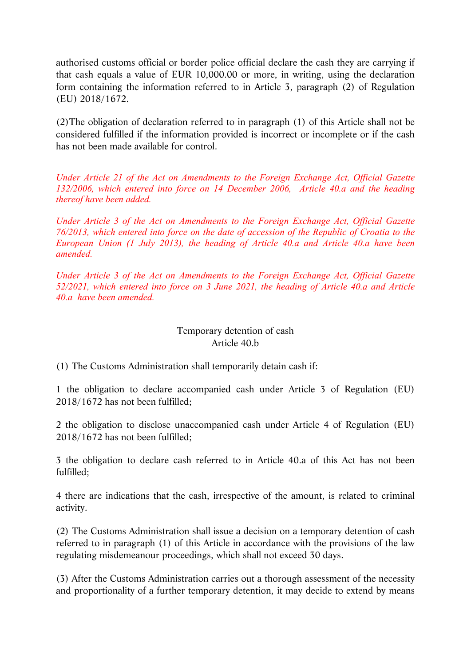authorised customs official or border police official declare the cash they are carrying if that cash equals a value of EUR 10,000.00 or more, in writing, using the declaration form containing the information referred to in Article 3, paragraph (2) of Regulation (EU) 2018/1672.

(2)The obligation of declaration referred to in paragraph (1) of this Article shall not be considered fulfilled if the information provided is incorrect or incomplete or if the cash has not been made available for control.

*Under Article 21 of the Act on Amendments to the Foreign Exchange Act, Official Gazette 132/2006, which entered into force on 14 December 2006, Article 40.a and the heading thereof have been added.* 

*Under Article 3 of the Act on Amendments to the Foreign Exchange Act, Official Gazette 76/2013, which entered into force on the date of accession of the Republic of Croatia to the European Union (1 July 2013), the heading of Article 40.a and Article 40.a have been amended.* 

*Under Article 3 of the Act on Amendments to the Foreign Exchange Act, Official Gazette 52/2021, which entered into force on 3 June 2021, the heading of Article 40.a and Article 40.a have been amended.* 

# Temporary detention of cash Article 40.b

(1) The Customs Administration shall temporarily detain cash if:

1 the obligation to declare accompanied cash under Article 3 of Regulation (EU) 2018/1672 has not been fulfilled;

2 the obligation to disclose unaccompanied cash under Article 4 of Regulation (EU) 2018/1672 has not been fulfilled;

3 the obligation to declare cash referred to in Article 40.a of this Act has not been fulfilled;

4 there are indications that the cash, irrespective of the amount, is related to criminal activity.

(2) The Customs Administration shall issue a decision on a temporary detention of cash referred to in paragraph (1) of this Article in accordance with the provisions of the law regulating misdemeanour proceedings, which shall not exceed 30 days.

(3) After the Customs Administration carries out a thorough assessment of the necessity and proportionality of a further temporary detention, it may decide to extend by means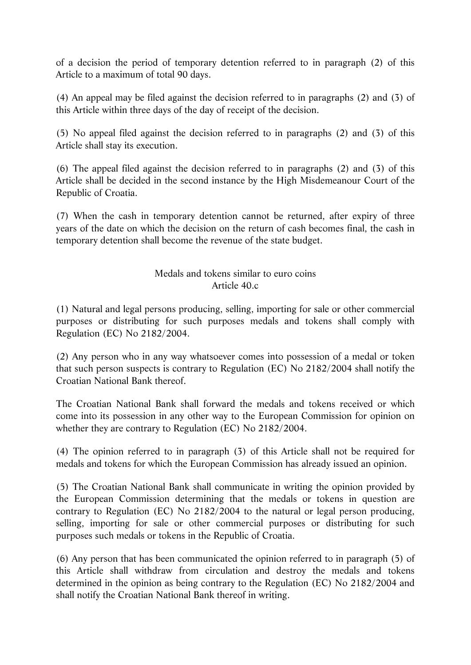of a decision the period of temporary detention referred to in paragraph (2) of this Article to a maximum of total 90 days.

(4) An appeal may be filed against the decision referred to in paragraphs (2) and (3) of this Article within three days of the day of receipt of the decision.

(5) No appeal filed against the decision referred to in paragraphs (2) and (3) of this Article shall stay its execution.

(6) The appeal filed against the decision referred to in paragraphs (2) and (3) of this Article shall be decided in the second instance by the High Misdemeanour Court of the Republic of Croatia.

(7) When the cash in temporary detention cannot be returned, after expiry of three years of the date on which the decision on the return of cash becomes final, the cash in temporary detention shall become the revenue of the state budget.

# Medals and tokens similar to euro coins Article 40.c

(1) Natural and legal persons producing, selling, importing for sale or other commercial purposes or distributing for such purposes medals and tokens shall comply with Regulation (EC) No 2182/2004.

(2) Any person who in any way whatsoever comes into possession of a medal or token that such person suspects is contrary to Regulation (EC) No 2182/2004 shall notify the Croatian National Bank thereof.

The Croatian National Bank shall forward the medals and tokens received or which come into its possession in any other way to the European Commission for opinion on whether they are contrary to Regulation (EC) No 2182/2004.

(4) The opinion referred to in paragraph (3) of this Article shall not be required for medals and tokens for which the European Commission has already issued an opinion.

(5) The Croatian National Bank shall communicate in writing the opinion provided by the European Commission determining that the medals or tokens in question are contrary to Regulation (EC) No 2182/2004 to the natural or legal person producing, selling, importing for sale or other commercial purposes or distributing for such purposes such medals or tokens in the Republic of Croatia.

(6) Any person that has been communicated the opinion referred to in paragraph (5) of this Article shall withdraw from circulation and destroy the medals and tokens determined in the opinion as being contrary to the Regulation (EC) No 2182/2004 and shall notify the Croatian National Bank thereof in writing.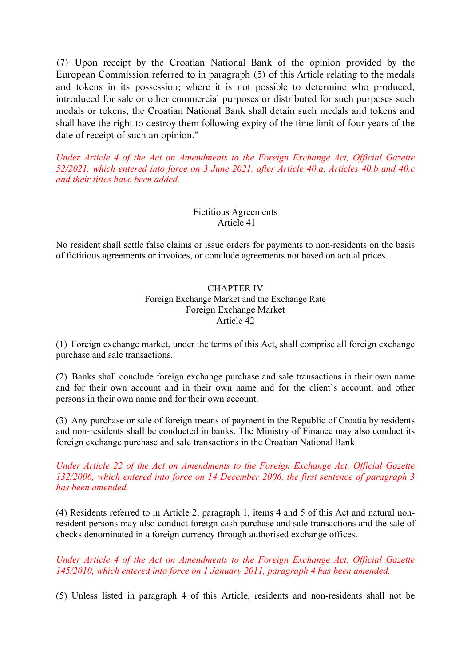(7) Upon receipt by the Croatian National Bank of the opinion provided by the European Commission referred to in paragraph (5) of this Article relating to the medals and tokens in its possession; where it is not possible to determine who produced, introduced for sale or other commercial purposes or distributed for such purposes such medals or tokens, the Croatian National Bank shall detain such medals and tokens and shall have the right to destroy them following expiry of the time limit of four years of the date of receipt of such an opinion."

*Under Article 4 of the Act on Amendments to the Foreign Exchange Act, Official Gazette 52/2021, which entered into force on 3 June 2021, after Article 40.a, Articles 40.b and 40.c and their titles have been added.* 

# Fictitious Agreements Article 41

No resident shall settle false claims or issue orders for payments to non-residents on the basis of fictitious agreements or invoices, or conclude agreements not based on actual prices.

#### CHAPTER IV Foreign Exchange Market and the Exchange Rate Foreign Exchange Market Article 42

(1) Foreign exchange market, under the terms of this Act, shall comprise all foreign exchange purchase and sale transactions.

(2) Banks shall conclude foreign exchange purchase and sale transactions in their own name and for their own account and in their own name and for the client's account, and other persons in their own name and for their own account.

(3) Any purchase or sale of foreign means of payment in the Republic of Croatia by residents and non-residents shall be conducted in banks. The Ministry of Finance may also conduct its foreign exchange purchase and sale transactions in the Croatian National Bank.

*Under Article 22 of the Act on Amendments to the Foreign Exchange Act, Official Gazette 132/2006, which entered into force on 14 December 2006, the first sentence of paragraph 3 has been amended.* 

(4) Residents referred to in Article 2, paragraph 1, items 4 and 5 of this Act and natural nonresident persons may also conduct foreign cash purchase and sale transactions and the sale of checks denominated in a foreign currency through authorised exchange offices.

*Under Article 4 of the Act on Amendments to the Foreign Exchange Act, Official Gazette 145/2010, which entered into force on 1 January 2011, paragraph 4 has been amended.* 

(5) Unless listed in paragraph 4 of this Article, residents and non-residents shall not be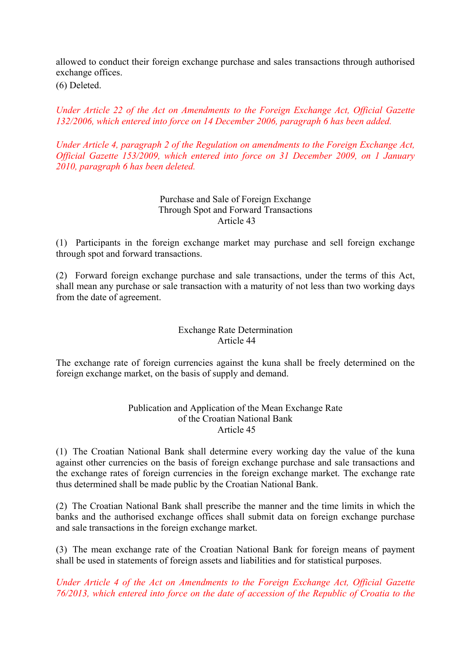allowed to conduct their foreign exchange purchase and sales transactions through authorised exchange offices. (6) Deleted.

*Under Article 22 of the Act on Amendments to the Foreign Exchange Act, Official Gazette 132/2006, which entered into force on 14 December 2006, paragraph 6 has been added.* 

*Under Article 4, paragraph 2 of the Regulation on amendments to the Foreign Exchange Act, Official Gazette 153/2009, which entered into force on 31 December 2009, on 1 January 2010, paragraph 6 has been deleted.* 

> Purchase and Sale of Foreign Exchange Through Spot and Forward Transactions Article 43

(1) Participants in the foreign exchange market may purchase and sell foreign exchange through spot and forward transactions.

(2) Forward foreign exchange purchase and sale transactions, under the terms of this Act, shall mean any purchase or sale transaction with a maturity of not less than two working days from the date of agreement.

### Exchange Rate Determination Article 44

The exchange rate of foreign currencies against the kuna shall be freely determined on the foreign exchange market, on the basis of supply and demand.

#### Publication and Application of the Mean Exchange Rate of the Croatian National Bank Article 45

(1) The Croatian National Bank shall determine every working day the value of the kuna against other currencies on the basis of foreign exchange purchase and sale transactions and the exchange rates of foreign currencies in the foreign exchange market. The exchange rate thus determined shall be made public by the Croatian National Bank.

(2) The Croatian National Bank shall prescribe the manner and the time limits in which the banks and the authorised exchange offices shall submit data on foreign exchange purchase and sale transactions in the foreign exchange market.

(3) The mean exchange rate of the Croatian National Bank for foreign means of payment shall be used in statements of foreign assets and liabilities and for statistical purposes.

*Under Article 4 of the Act on Amendments to the Foreign Exchange Act, Official Gazette 76/2013, which entered into force on the date of accession of the Republic of Croatia to the*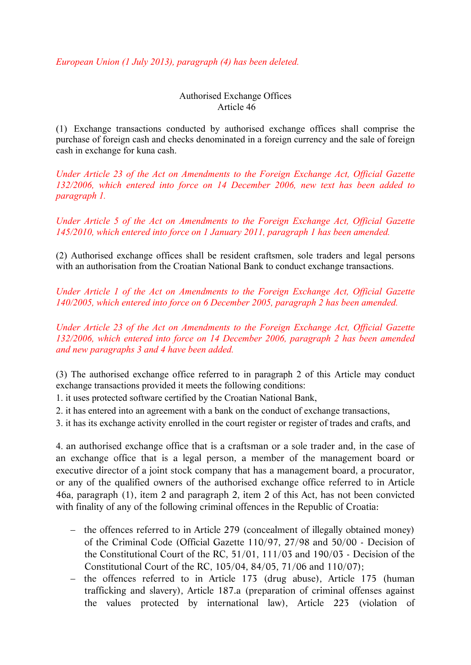*European Union (1 July 2013), paragraph (4) has been deleted.*

Authorised Exchange Offices Article 46

(1) Exchange transactions conducted by authorised exchange offices shall comprise the purchase of foreign cash and checks denominated in a foreign currency and the sale of foreign cash in exchange for kuna cash.

*Under Article 23 of the Act on Amendments to the Foreign Exchange Act, Official Gazette 132/2006, which entered into force on 14 December 2006, new text has been added to paragraph 1.* 

*Under Article 5 of the Act on Amendments to the Foreign Exchange Act, Official Gazette 145/2010, which entered into force on 1 January 2011, paragraph 1 has been amended.* 

(2) Authorised exchange offices shall be resident craftsmen, sole traders and legal persons with an authorisation from the Croatian National Bank to conduct exchange transactions.

*Under Article 1 of the Act on Amendments to the Foreign Exchange Act, Official Gazette 140/2005, which entered into force on 6 December 2005, paragraph 2 has been amended.* 

*Under Article 23 of the Act on Amendments to the Foreign Exchange Act, Official Gazette 132/2006, which entered into force on 14 December 2006, paragraph 2 has been amended and new paragraphs 3 and 4 have been added.* 

(3) The authorised exchange office referred to in paragraph 2 of this Article may conduct exchange transactions provided it meets the following conditions:

1. it uses protected software certified by the Croatian National Bank,

2. it has entered into an agreement with a bank on the conduct of exchange transactions,

3. it has its exchange activity enrolled in the court register or register of trades and crafts, and

4. an authorised exchange office that is a craftsman or a sole trader and, in the case of an exchange office that is a legal person, a member of the management board or executive director of a joint stock company that has a management board, a procurator, or any of the qualified owners of the authorised exchange office referred to in Article 46a, paragraph (1), item 2 and paragraph 2, item 2 of this Act, has not been convicted with finality of any of the following criminal offences in the Republic of Croatia:

- the offences referred to in Article 279 (concealment of illegally obtained money) of the Criminal Code (Official Gazette 110/97, 27/98 and 50/00 - Decision of the Constitutional Court of the RC, 51/01, 111/03 and 190/03 - Decision of the Constitutional Court of the RC, 105/04, 84/05, 71/06 and 110/07);
- the offences referred to in Article 173 (drug abuse), Article 175 (human trafficking and slavery), Article 187.a (preparation of criminal offenses against the values protected by international law), Article 223 (violation of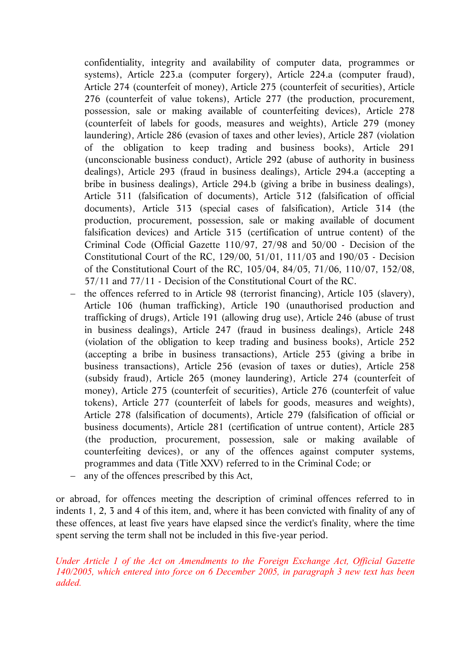confidentiality, integrity and availability of computer data, programmes or systems), Article 223.a (computer forgery), Article 224.a (computer fraud), Article 274 (counterfeit of money), Article 275 (counterfeit of securities), Article 276 (counterfeit of value tokens), Article 277 (the production, procurement, possession, sale or making available of counterfeiting devices), Article 278 (counterfeit of labels for goods, measures and weights), Article 279 (money laundering), Article 286 (evasion of taxes and other levies), Article 287 (violation of the obligation to keep trading and business books), Article 291 (unconscionable business conduct), Article 292 (abuse of authority in business dealings), Article 293 (fraud in business dealings), Article 294.a (accepting a bribe in business dealings), Article 294.b (giving a bribe in business dealings), Article 311 (falsification of documents), Article 312 (falsification of official documents), Article 313 (special cases of falsification), Article 314 (the production, procurement, possession, sale or making available of document falsification devices) and Article 315 (certification of untrue content) of the Criminal Code (Official Gazette 110/97, 27/98 and 50/00 - Decision of the Constitutional Court of the RC, 129/00, 51/01, 111/03 and 190/03 - Decision of the Constitutional Court of the RC, 105/04, 84/05, 71/06, 110/07, 152/08, 57/11 and 77/11 - Decision of the Constitutional Court of the RC.

- the offences referred to in Article 98 (terrorist financing), Article 105 (slavery), Article 106 (human trafficking), Article 190 (unauthorised production and trafficking of drugs), Article 191 (allowing drug use), Article 246 (abuse of trust in business dealings), Article 247 (fraud in business dealings), Article 248 (violation of the obligation to keep trading and business books), Article 252 (accepting a bribe in business transactions), Article 253 (giving a bribe in business transactions), Article 256 (evasion of taxes or duties), Article 258 (subsidy fraud), Article 265 (money laundering), Article 274 (counterfeit of money), Article 275 (counterfeit of securities), Article 276 (counterfeit of value tokens), Article 277 (counterfeit of labels for goods, measures and weights), Article 278 (falsification of documents), Article 279 (falsification of official or business documents), Article 281 (certification of untrue content), Article 283 (the production, procurement, possession, sale or making available of counterfeiting devices), or any of the offences against computer systems, programmes and data (Title XXV) referred to in the Criminal Code; or
- any of the offences prescribed by this Act,

or abroad, for offences meeting the description of criminal offences referred to in indents 1, 2, 3 and 4 of this item, and, where it has been convicted with finality of any of these offences, at least five years have elapsed since the verdict's finality, where the time spent serving the term shall not be included in this five-year period.

*Under Article 1 of the Act on Amendments to the Foreign Exchange Act, Official Gazette 140/2005, which entered into force on 6 December 2005, in paragraph 3 new text has been added.*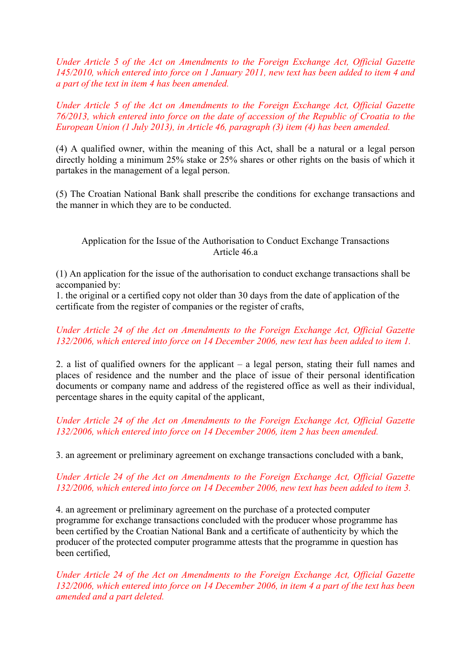*Under Article 5 of the Act on Amendments to the Foreign Exchange Act, Official Gazette 145/2010, which entered into force on 1 January 2011, new text has been added to item 4 and a part of the text in item 4 has been amended.* 

*Under Article 5 of the Act on Amendments to the Foreign Exchange Act, Official Gazette 76/2013, which entered into force on the date of accession of the Republic of Croatia to the European Union (1 July 2013), in Article 46, paragraph (3) item (4) has been amended.*

(4) A qualified owner, within the meaning of this Act, shall be a natural or a legal person directly holding a minimum 25% stake or 25% shares or other rights on the basis of which it partakes in the management of a legal person.

(5) The Croatian National Bank shall prescribe the conditions for exchange transactions and the manner in which they are to be conducted.

# Application for the Issue of the Authorisation to Conduct Exchange Transactions Article 46.a

(1) An application for the issue of the authorisation to conduct exchange transactions shall be accompanied by:

1. the original or a certified copy not older than 30 days from the date of application of the certificate from the register of companies or the register of crafts,

# *Under Article 24 of the Act on Amendments to the Foreign Exchange Act, Official Gazette 132/2006, which entered into force on 14 December 2006, new text has been added to item 1.*

2. a list of qualified owners for the applicant – a legal person, stating their full names and places of residence and the number and the place of issue of their personal identification documents or company name and address of the registered office as well as their individual, percentage shares in the equity capital of the applicant,

# *Under Article 24 of the Act on Amendments to the Foreign Exchange Act, Official Gazette 132/2006, which entered into force on 14 December 2006, item 2 has been amended.*

3. an agreement or preliminary agreement on exchange transactions concluded with a bank,

# *Under Article 24 of the Act on Amendments to the Foreign Exchange Act, Official Gazette 132/2006, which entered into force on 14 December 2006, new text has been added to item 3.*

4. an agreement or preliminary agreement on the purchase of a protected computer programme for exchange transactions concluded with the producer whose programme has been certified by the Croatian National Bank and a certificate of authenticity by which the producer of the protected computer programme attests that the programme in question has been certified,

*Under Article 24 of the Act on Amendments to the Foreign Exchange Act, Official Gazette 132/2006, which entered into force on 14 December 2006, in item 4 a part of the text has been amended and a part deleted.*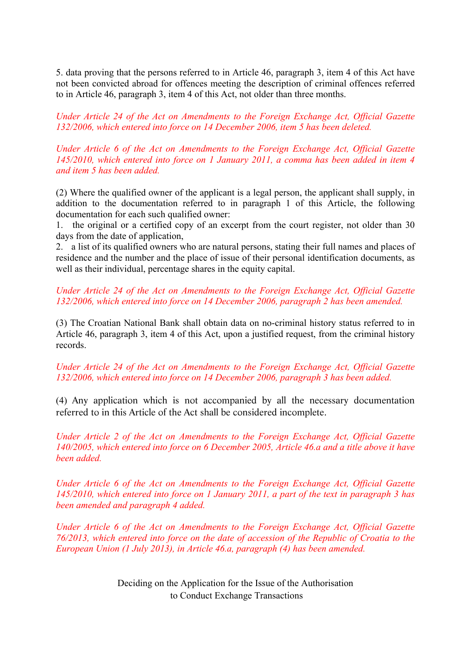5. data proving that the persons referred to in Article 46, paragraph 3, item 4 of this Act have not been convicted abroad for offences meeting the description of criminal offences referred to in Article 46, paragraph 3, item 4 of this Act, not older than three months.

*Under Article 24 of the Act on Amendments to the Foreign Exchange Act, Official Gazette 132/2006, which entered into force on 14 December 2006, item 5 has been deleted.* 

*Under Article 6 of the Act on Amendments to the Foreign Exchange Act, Official Gazette 145/2010, which entered into force on 1 January 2011, a comma has been added in item 4 and item 5 has been added.* 

(2) Where the qualified owner of the applicant is a legal person, the applicant shall supply, in addition to the documentation referred to in paragraph 1 of this Article, the following documentation for each such qualified owner:

1. the original or a certified copy of an excerpt from the court register, not older than 30 days from the date of application,

2. a list of its qualified owners who are natural persons, stating their full names and places of residence and the number and the place of issue of their personal identification documents, as well as their individual, percentage shares in the equity capital.

*Under Article 24 of the Act on Amendments to the Foreign Exchange Act, Official Gazette 132/2006, which entered into force on 14 December 2006, paragraph 2 has been amended.* 

(3) The Croatian National Bank shall obtain data on no-criminal history status referred to in Article 46, paragraph 3, item 4 of this Act, upon a justified request, from the criminal history records.

*Under Article 24 of the Act on Amendments to the Foreign Exchange Act, Official Gazette 132/2006, which entered into force on 14 December 2006, paragraph 3 has been added.* 

(4) Any application which is not accompanied by all the necessary documentation referred to in this Article of the Act shall be considered incomplete.

*Under Article 2 of the Act on Amendments to the Foreign Exchange Act, Official Gazette 140/2005, which entered into force on 6 December 2005, Article 46.a and a title above it have been added.* 

*Under Article 6 of the Act on Amendments to the Foreign Exchange Act, Official Gazette 145/2010, which entered into force on 1 January 2011, a part of the text in paragraph 3 has been amended and paragraph 4 added.* 

*Under Article 6 of the Act on Amendments to the Foreign Exchange Act, Official Gazette 76/2013, which entered into force on the date of accession of the Republic of Croatia to the European Union (1 July 2013), in Article 46.a, paragraph (4) has been amended.*

> Deciding on the Application for the Issue of the Authorisation to Conduct Exchange Transactions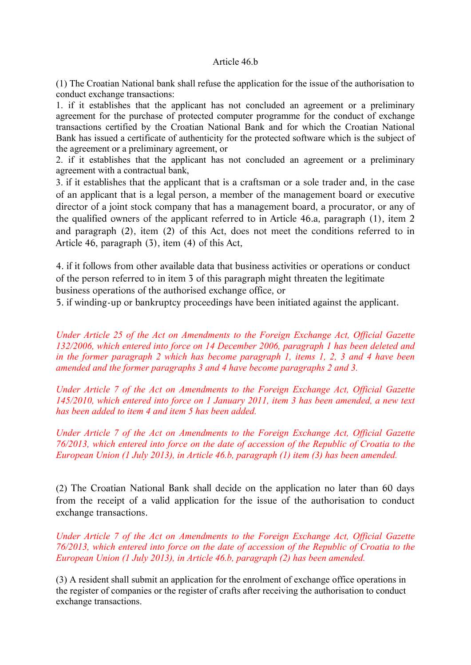#### Article 46.b

(1) The Croatian National bank shall refuse the application for the issue of the authorisation to conduct exchange transactions:

1. if it establishes that the applicant has not concluded an agreement or a preliminary agreement for the purchase of protected computer programme for the conduct of exchange transactions certified by the Croatian National Bank and for which the Croatian National Bank has issued a certificate of authenticity for the protected software which is the subject of the agreement or a preliminary agreement, or

2. if it establishes that the applicant has not concluded an agreement or a preliminary agreement with a contractual bank,

3. if it establishes that the applicant that is a craftsman or a sole trader and, in the case of an applicant that is a legal person, a member of the management board or executive director of a joint stock company that has a management board, a procurator, or any of the qualified owners of the applicant referred to in Article 46.a, paragraph (1), item 2 and paragraph (2), item (2) of this Act, does not meet the conditions referred to in Article 46, paragraph (3), item (4) of this Act,

4. if it follows from other available data that business activities or operations or conduct of the person referred to in item 3 of this paragraph might threaten the legitimate business operations of the authorised exchange office, or

5. if winding-up or bankruptcy proceedings have been initiated against the applicant.

*Under Article 25 of the Act on Amendments to the Foreign Exchange Act, Official Gazette 132/2006, which entered into force on 14 December 2006, paragraph 1 has been deleted and in the former paragraph 2 which has become paragraph 1, items 1, 2, 3 and 4 have been amended and the former paragraphs 3 and 4 have become paragraphs 2 and 3.* 

*Under Article 7 of the Act on Amendments to the Foreign Exchange Act, Official Gazette 145/2010, which entered into force on 1 January 2011, item 3 has been amended, a new text has been added to item 4 and item 5 has been added.* 

*Under Article 7 of the Act on Amendments to the Foreign Exchange Act, Official Gazette 76/2013, which entered into force on the date of accession of the Republic of Croatia to the European Union (1 July 2013), in Article 46.b, paragraph (1) item (3) has been amended.*

(2) The Croatian National Bank shall decide on the application no later than 60 days from the receipt of a valid application for the issue of the authorisation to conduct exchange transactions.

*Under Article 7 of the Act on Amendments to the Foreign Exchange Act, Official Gazette 76/2013, which entered into force on the date of accession of the Republic of Croatia to the European Union (1 July 2013), in Article 46.b, paragraph (2) has been amended.*

(3) A resident shall submit an application for the enrolment of exchange office operations in the register of companies or the register of crafts after receiving the authorisation to conduct exchange transactions.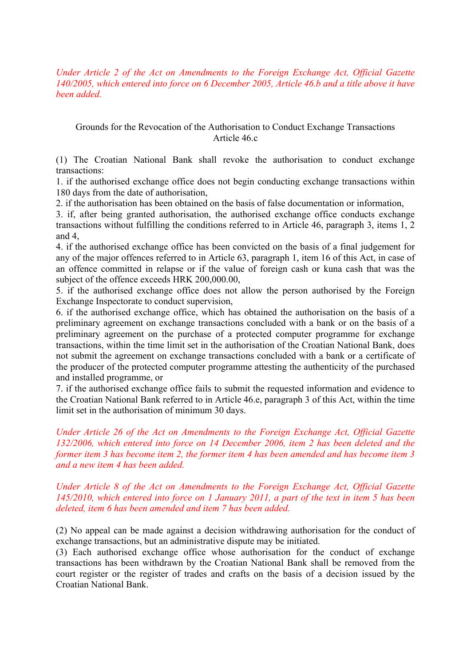*Under Article 2 of the Act on Amendments to the Foreign Exchange Act, Official Gazette 140/2005, which entered into force on 6 December 2005, Article 46.b and a title above it have been added.* 

#### Grounds for the Revocation of the Authorisation to Conduct Exchange Transactions Article 46.c

(1) The Croatian National Bank shall revoke the authorisation to conduct exchange transactions:

1. if the authorised exchange office does not begin conducting exchange transactions within 180 days from the date of authorisation,

2. if the authorisation has been obtained on the basis of false documentation or information,

3. if, after being granted authorisation, the authorised exchange office conducts exchange transactions without fulfilling the conditions referred to in Article 46, paragraph 3, items 1, 2 and 4,

4. if the authorised exchange office has been convicted on the basis of a final judgement for any of the major offences referred to in Article 63, paragraph 1, item 16 of this Act, in case of an offence committed in relapse or if the value of foreign cash or kuna cash that was the subject of the offence exceeds HRK 200,000.00,

5. if the authorised exchange office does not allow the person authorised by the Foreign Exchange Inspectorate to conduct supervision,

6. if the authorised exchange office, which has obtained the authorisation on the basis of a preliminary agreement on exchange transactions concluded with a bank or on the basis of a preliminary agreement on the purchase of a protected computer programme for exchange transactions, within the time limit set in the authorisation of the Croatian National Bank, does not submit the agreement on exchange transactions concluded with a bank or a certificate of the producer of the protected computer programme attesting the authenticity of the purchased and installed programme, or

7. if the authorised exchange office fails to submit the requested information and evidence to the Croatian National Bank referred to in Article 46.e, paragraph 3 of this Act, within the time limit set in the authorisation of minimum 30 days.

*Under Article 26 of the Act on Amendments to the Foreign Exchange Act, Official Gazette 132/2006, which entered into force on 14 December 2006, item 2 has been deleted and the former item 3 has become item 2, the former item 4 has been amended and has become item 3 and a new item 4 has been added.* 

#### *Under Article 8 of the Act on Amendments to the Foreign Exchange Act, Official Gazette 145/2010, which entered into force on 1 January 2011, a part of the text in item 5 has been deleted, item 6 has been amended and item 7 has been added.*

(2) No appeal can be made against a decision withdrawing authorisation for the conduct of exchange transactions, but an administrative dispute may be initiated.

(3) Each authorised exchange office whose authorisation for the conduct of exchange transactions has been withdrawn by the Croatian National Bank shall be removed from the court register or the register of trades and crafts on the basis of a decision issued by the Croatian National Bank.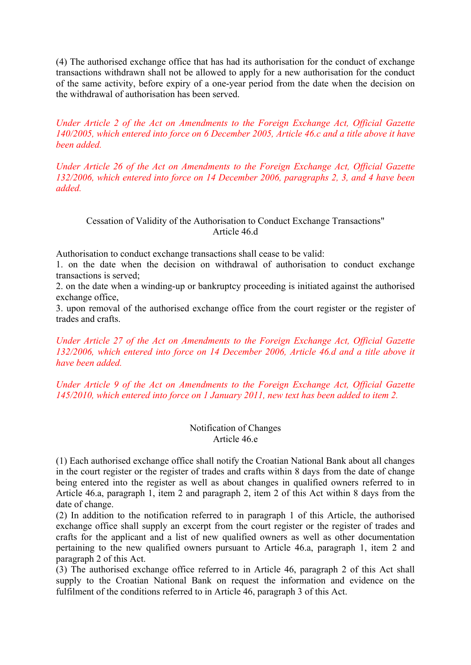(4) The authorised exchange office that has had its authorisation for the conduct of exchange transactions withdrawn shall not be allowed to apply for a new authorisation for the conduct of the same activity, before expiry of a one-year period from the date when the decision on the withdrawal of authorisation has been served.

*Under Article 2 of the Act on Amendments to the Foreign Exchange Act, Official Gazette 140/2005, which entered into force on 6 December 2005, Article 46.c and a title above it have been added.* 

*Under Article 26 of the Act on Amendments to the Foreign Exchange Act, Official Gazette 132/2006, which entered into force on 14 December 2006, paragraphs 2, 3, and 4 have been added.*

#### Cessation of Validity of the Authorisation to Conduct Exchange Transactions" Article 46.d

Authorisation to conduct exchange transactions shall cease to be valid:

1. on the date when the decision on withdrawal of authorisation to conduct exchange transactions is served;

2. on the date when a winding-up or bankruptcy proceeding is initiated against the authorised exchange office,

3. upon removal of the authorised exchange office from the court register or the register of trades and crafts.

*Under Article 27 of the Act on Amendments to the Foreign Exchange Act, Official Gazette 132/2006, which entered into force on 14 December 2006, Article 46.d and a title above it have been added.* 

*Under Article 9 of the Act on Amendments to the Foreign Exchange Act, Official Gazette 145/2010, which entered into force on 1 January 2011, new text has been added to item 2.* 

#### Notification of Changes Article 46.e

(1) Each authorised exchange office shall notify the Croatian National Bank about all changes in the court register or the register of trades and crafts within 8 days from the date of change being entered into the register as well as about changes in qualified owners referred to in Article 46.a, paragraph 1, item 2 and paragraph 2, item 2 of this Act within 8 days from the date of change.

(2) In addition to the notification referred to in paragraph 1 of this Article, the authorised exchange office shall supply an excerpt from the court register or the register of trades and crafts for the applicant and a list of new qualified owners as well as other documentation pertaining to the new qualified owners pursuant to Article 46.a, paragraph 1, item 2 and paragraph 2 of this Act.

(3) The authorised exchange office referred to in Article 46, paragraph 2 of this Act shall supply to the Croatian National Bank on request the information and evidence on the fulfilment of the conditions referred to in Article 46, paragraph 3 of this Act.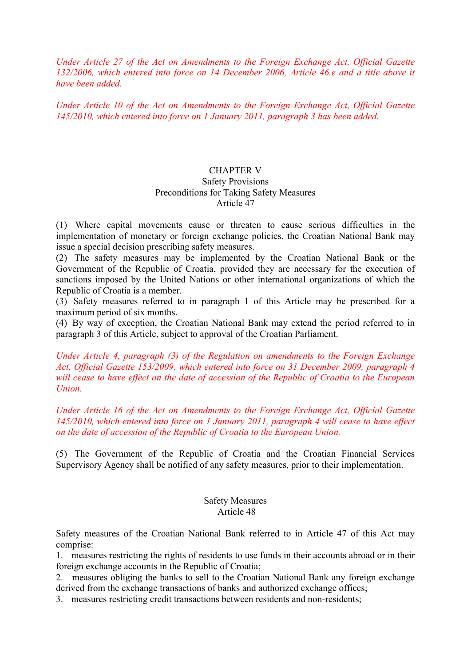*Under Article 27 of the Act on Amendments to the Foreign Exchange Act, Official Gazette 132/2006, which entered into force on 14 December 2006, Article 46.e and a title above it have been added.* 

*Under Article 10 of the Act on Amendments to the Foreign Exchange Act, Official Gazette 145/2010, which entered into force on 1 January 2011, paragraph 3 has been added.* 

#### CHAPTER V Safety Provisions Preconditions for Taking Safety Measures Article 47

(1) Where capital movements cause or threaten to cause serious difficulties in the implementation of monetary or foreign exchange policies, the Croatian National Bank may issue a special decision prescribing safety measures.

(2) The safety measures may be implemented by the Croatian National Bank or the Government of the Republic of Croatia, provided they are necessary for the execution of sanctions imposed by the United Nations or other international organizations of which the Republic of Croatia is a member.

(3) Safety measures referred to in paragraph 1 of this Article may be prescribed for a maximum period of six months.

(4) By way of exception, the Croatian National Bank may extend the period referred to in paragraph 3 of this Article, subject to approval of the Croatian Parliament.

*Under Article 4, paragraph (3) of the Regulation on amendments to the Foreign Exchange Act, Official Gazette 153/2009, which entered into force on 31 December 2009, paragraph 4 will cease to have effect on the date of accession of the Republic of Croatia to the European Union.* 

*Under Article 16 of the Act on Amendments to the Foreign Exchange Act, Official Gazette 145/2010, which entered into force on 1 January 2011, paragraph 4 will cease to have effect on the date of accession of the Republic of Croatia to the European Union.* 

(5) The Government of the Republic of Croatia and the Croatian Financial Services Supervisory Agency shall be notified of any safety measures, prior to their implementation.

#### Safety Measures Article 48

Safety measures of the Croatian National Bank referred to in Article 47 of this Act may comprise:

1. measures restricting the rights of residents to use funds in their accounts abroad or in their foreign exchange accounts in the Republic of Croatia;

2. measures obliging the banks to sell to the Croatian National Bank any foreign exchange derived from the exchange transactions of banks and authorized exchange offices;

3. measures restricting credit transactions between residents and non-residents;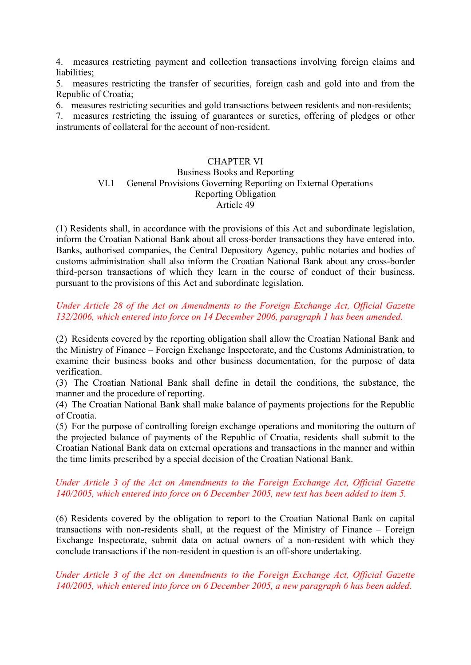4. measures restricting payment and collection transactions involving foreign claims and liabilities;

5. measures restricting the transfer of securities, foreign cash and gold into and from the Republic of Croatia;

6. measures restricting securities and gold transactions between residents and non-residents;

7. measures restricting the issuing of guarantees or sureties, offering of pledges or other instruments of collateral for the account of non-resident.

#### CHAPTER VI

#### Business Books and Reporting VI.1 General Provisions Governing Reporting on External Operations Reporting Obligation Article 49

(1) Residents shall, in accordance with the provisions of this Act and subordinate legislation, inform the Croatian National Bank about all cross-border transactions they have entered into. Banks, authorised companies, the Central Depository Agency, public notaries and bodies of customs administration shall also inform the Croatian National Bank about any cross-border third-person transactions of which they learn in the course of conduct of their business, pursuant to the provisions of this Act and subordinate legislation.

# *Under Article 28 of the Act on Amendments to the Foreign Exchange Act, Official Gazette 132/2006, which entered into force on 14 December 2006, paragraph 1 has been amended.*

(2) Residents covered by the reporting obligation shall allow the Croatian National Bank and the Ministry of Finance – Foreign Exchange Inspectorate, and the Customs Administration, to examine their business books and other business documentation, for the purpose of data verification.

(3) The Croatian National Bank shall define in detail the conditions, the substance, the manner and the procedure of reporting.

(4) The Croatian National Bank shall make balance of payments projections for the Republic of Croatia.

(5) For the purpose of controlling foreign exchange operations and monitoring the outturn of the projected balance of payments of the Republic of Croatia, residents shall submit to the Croatian National Bank data on external operations and transactions in the manner and within the time limits prescribed by a special decision of the Croatian National Bank.

#### *Under Article 3 of the Act on Amendments to the Foreign Exchange Act, Official Gazette 140/2005, which entered into force on 6 December 2005, new text has been added to item 5.*

(6) Residents covered by the obligation to report to the Croatian National Bank on capital transactions with non-residents shall, at the request of the Ministry of Finance – Foreign Exchange Inspectorate, submit data on actual owners of a non-resident with which they conclude transactions if the non-resident in question is an off-shore undertaking.

*Under Article 3 of the Act on Amendments to the Foreign Exchange Act, Official Gazette 140/2005, which entered into force on 6 December 2005, a new paragraph 6 has been added.*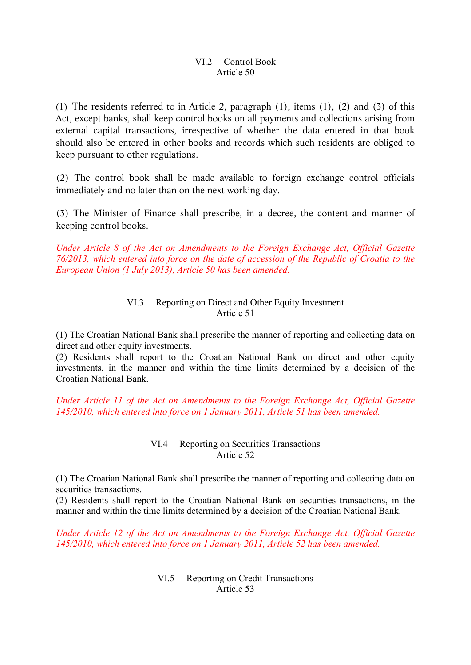# VI.2 Control Book Article 50

(1) The residents referred to in Article 2, paragraph (1), items (1), (2) and (3) of this Act, except banks, shall keep control books on all payments and collections arising from external capital transactions, irrespective of whether the data entered in that book should also be entered in other books and records which such residents are obliged to keep pursuant to other regulations.

(2) The control book shall be made available to foreign exchange control officials immediately and no later than on the next working day.

(3) The Minister of Finance shall prescribe, in a decree, the content and manner of keeping control books.

*Under Article 8 of the Act on Amendments to the Foreign Exchange Act, Official Gazette 76/2013, which entered into force on the date of accession of the Republic of Croatia to the European Union (1 July 2013), Article 50 has been amended.*

#### VI.3 Reporting on Direct and Other Equity Investment Article 51

(1) The Croatian National Bank shall prescribe the manner of reporting and collecting data on direct and other equity investments.

(2) Residents shall report to the Croatian National Bank on direct and other equity investments, in the manner and within the time limits determined by a decision of the Croatian National Bank.

*Under Article 11 of the Act on Amendments to the Foreign Exchange Act, Official Gazette 145/2010, which entered into force on 1 January 2011, Article 51 has been amended.* 

#### VI.4 Reporting on Securities Transactions Article 52

(1) The Croatian National Bank shall prescribe the manner of reporting and collecting data on securities transactions.

(2) Residents shall report to the Croatian National Bank on securities transactions, in the manner and within the time limits determined by a decision of the Croatian National Bank.

*Under Article 12 of the Act on Amendments to the Foreign Exchange Act, Official Gazette 145/2010, which entered into force on 1 January 2011, Article 52 has been amended.*

> VI.5 Reporting on Credit Transactions Article 53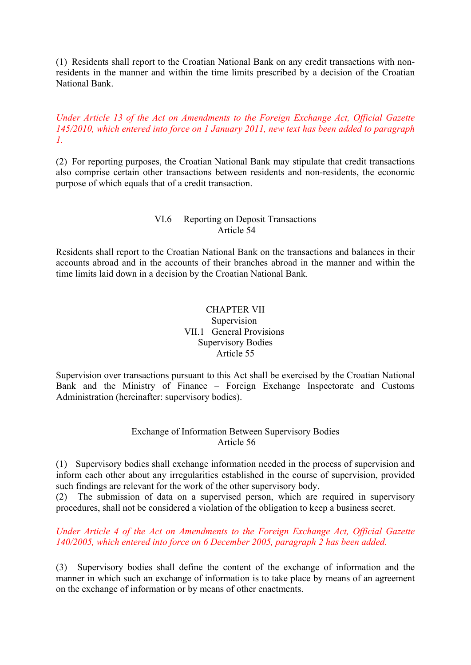(1) Residents shall report to the Croatian National Bank on any credit transactions with nonresidents in the manner and within the time limits prescribed by a decision of the Croatian National Bank.

### *Under Article 13 of the Act on Amendments to the Foreign Exchange Act, Official Gazette 145/2010, which entered into force on 1 January 2011, new text has been added to paragraph 1.*

(2) For reporting purposes, the Croatian National Bank may stipulate that credit transactions also comprise certain other transactions between residents and non-residents, the economic purpose of which equals that of a credit transaction.

### VI.6 Reporting on Deposit Transactions Article 54

Residents shall report to the Croatian National Bank on the transactions and balances in their accounts abroad and in the accounts of their branches abroad in the manner and within the time limits laid down in a decision by the Croatian National Bank.

### CHAPTER VII Supervision VII.1 General Provisions Supervisory Bodies Article 55

Supervision over transactions pursuant to this Act shall be exercised by the Croatian National Bank and the Ministry of Finance – Foreign Exchange Inspectorate and Customs Administration (hereinafter: supervisory bodies).

#### Exchange of Information Between Supervisory Bodies Article 56

(1) Supervisory bodies shall exchange information needed in the process of supervision and inform each other about any irregularities established in the course of supervision, provided such findings are relevant for the work of the other supervisory body.

(2) The submission of data on a supervised person, which are required in supervisory procedures, shall not be considered a violation of the obligation to keep a business secret.

# *Under Article 4 of the Act on Amendments to the Foreign Exchange Act, Official Gazette 140/2005, which entered into force on 6 December 2005, paragraph 2 has been added.*

(3) Supervisory bodies shall define the content of the exchange of information and the manner in which such an exchange of information is to take place by means of an agreement on the exchange of information or by means of other enactments.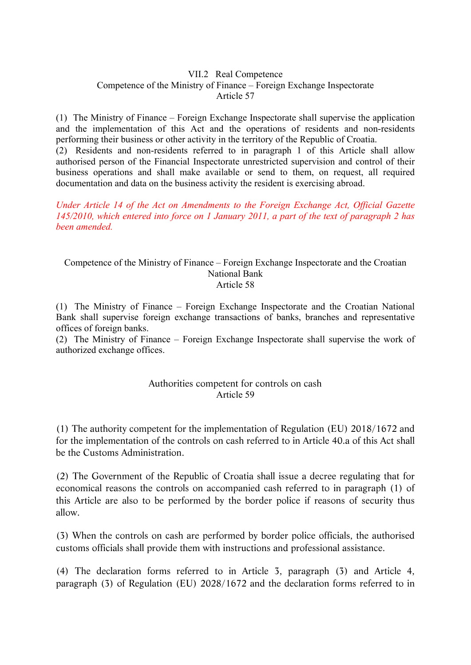#### VII.2 Real Competence Competence of the Ministry of Finance – Foreign Exchange Inspectorate Article 57

(1) The Ministry of Finance – Foreign Exchange Inspectorate shall supervise the application and the implementation of this Act and the operations of residents and non-residents performing their business or other activity in the territory of the Republic of Croatia.

(2) Residents and non-residents referred to in paragraph 1 of this Article shall allow authorised person of the Financial Inspectorate unrestricted supervision and control of their business operations and shall make available or send to them, on request, all required documentation and data on the business activity the resident is exercising abroad.

*Under Article 14 of the Act on Amendments to the Foreign Exchange Act, Official Gazette 145/2010, which entered into force on 1 January 2011, a part of the text of paragraph 2 has been amended.* 

#### Competence of the Ministry of Finance – Foreign Exchange Inspectorate and the Croatian National Bank Article 58

(1) The Ministry of Finance – Foreign Exchange Inspectorate and the Croatian National Bank shall supervise foreign exchange transactions of banks, branches and representative offices of foreign banks.

(2) The Ministry of Finance – Foreign Exchange Inspectorate shall supervise the work of authorized exchange offices.

# Authorities competent for controls on cash Article 59

(1) The authority competent for the implementation of Regulation (EU) 2018/1672 and for the implementation of the controls on cash referred to in Article 40.a of this Act shall be the Customs Administration.

(2) The Government of the Republic of Croatia shall issue a decree regulating that for economical reasons the controls on accompanied cash referred to in paragraph (1) of this Article are also to be performed by the border police if reasons of security thus allow.

(3) When the controls on cash are performed by border police officials, the authorised customs officials shall provide them with instructions and professional assistance.

(4) The declaration forms referred to in Article 3, paragraph (3) and Article 4, paragraph (3) of Regulation (EU) 2028/1672 and the declaration forms referred to in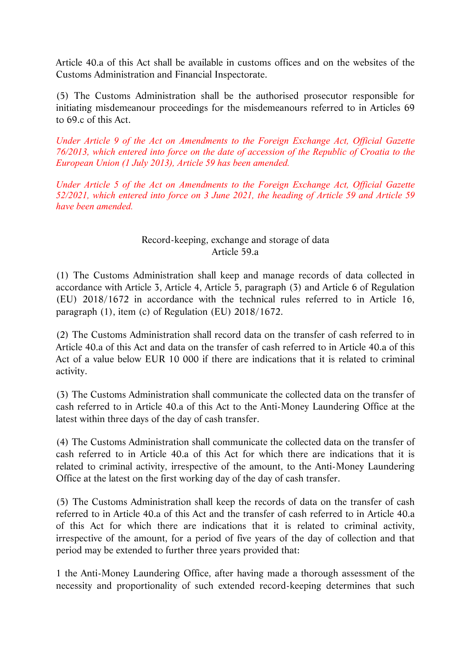Article 40.a of this Act shall be available in customs offices and on the websites of the Customs Administration and Financial Inspectorate.

(5) The Customs Administration shall be the authorised prosecutor responsible for initiating misdemeanour proceedings for the misdemeanours referred to in Articles 69 to 69.c of this Act.

*Under Article 9 of the Act on Amendments to the Foreign Exchange Act, Official Gazette 76/2013, which entered into force on the date of accession of the Republic of Croatia to the European Union (1 July 2013), Article 59 has been amended.* 

*Under Article 5 of the Act on Amendments to the Foreign Exchange Act, Official Gazette 52/2021, which entered into force on 3 June 2021, the heading of Article 59 and Article 59 have been amended.* 

# Record-keeping, exchange and storage of data Article 59.a

(1) The Customs Administration shall keep and manage records of data collected in accordance with Article 3, Article 4, Article 5, paragraph (3) and Article 6 of Regulation (EU) 2018/1672 in accordance with the technical rules referred to in Article 16, paragraph (1), item (c) of Regulation (EU) 2018/1672.

(2) The Customs Administration shall record data on the transfer of cash referred to in Article 40.a of this Act and data on the transfer of cash referred to in Article 40.a of this Act of a value below EUR 10 000 if there are indications that it is related to criminal activity.

(3) The Customs Administration shall communicate the collected data on the transfer of cash referred to in Article 40.a of this Act to the Anti-Money Laundering Office at the latest within three days of the day of cash transfer.

(4) The Customs Administration shall communicate the collected data on the transfer of cash referred to in Article 40.a of this Act for which there are indications that it is related to criminal activity, irrespective of the amount, to the Anti-Money Laundering Office at the latest on the first working day of the day of cash transfer.

(5) The Customs Administration shall keep the records of data on the transfer of cash referred to in Article 40.a of this Act and the transfer of cash referred to in Article 40.a of this Act for which there are indications that it is related to criminal activity, irrespective of the amount, for a period of five years of the day of collection and that period may be extended to further three years provided that:

1 the Anti-Money Laundering Office, after having made a thorough assessment of the necessity and proportionality of such extended record-keeping determines that such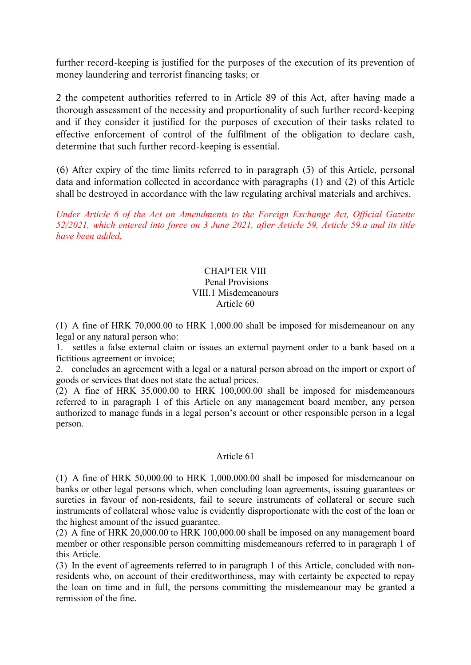further record-keeping is justified for the purposes of the execution of its prevention of money laundering and terrorist financing tasks; or

2 the competent authorities referred to in Article 89 of this Act, after having made a thorough assessment of the necessity and proportionality of such further record-keeping and if they consider it justified for the purposes of execution of their tasks related to effective enforcement of control of the fulfilment of the obligation to declare cash, determine that such further record-keeping is essential.

(6) After expiry of the time limits referred to in paragraph (5) of this Article, personal data and information collected in accordance with paragraphs (1) and (2) of this Article shall be destroyed in accordance with the law regulating archival materials and archives.

*Under Article 6 of the Act on Amendments to the Foreign Exchange Act, Official Gazette 52/2021, which entered into force on 3 June 2021, after Article 59, Article 59.a and its title have been added.* 

### CHAPTER VIII Penal Provisions VIII.1 Misdemeanours Article 60

(1) A fine of HRK 70,000.00 to HRK 1,000.00 shall be imposed for misdemeanour on any legal or any natural person who:

1. settles a false external claim or issues an external payment order to a bank based on a fictitious agreement or invoice;

2. concludes an agreement with a legal or a natural person abroad on the import or export of goods or services that does not state the actual prices.

(2) A fine of HRK 35,000.00 to HRK 100,000.00 shall be imposed for misdemeanours referred to in paragraph 1 of this Article on any management board member, any person authorized to manage funds in a legal person's account or other responsible person in a legal person.

# Article 61

(1) A fine of HRK 50,000.00 to HRK 1,000.000.00 shall be imposed for misdemeanour on banks or other legal persons which, when concluding loan agreements, issuing guarantees or sureties in favour of non-residents, fail to secure instruments of collateral or secure such instruments of collateral whose value is evidently disproportionate with the cost of the loan or the highest amount of the issued guarantee.

(2) A fine of HRK 20,000.00 to HRK 100,000.00 shall be imposed on any management board member or other responsible person committing misdemeanours referred to in paragraph 1 of this Article.

(3) In the event of agreements referred to in paragraph 1 of this Article, concluded with nonresidents who, on account of their creditworthiness, may with certainty be expected to repay the loan on time and in full, the persons committing the misdemeanour may be granted a remission of the fine.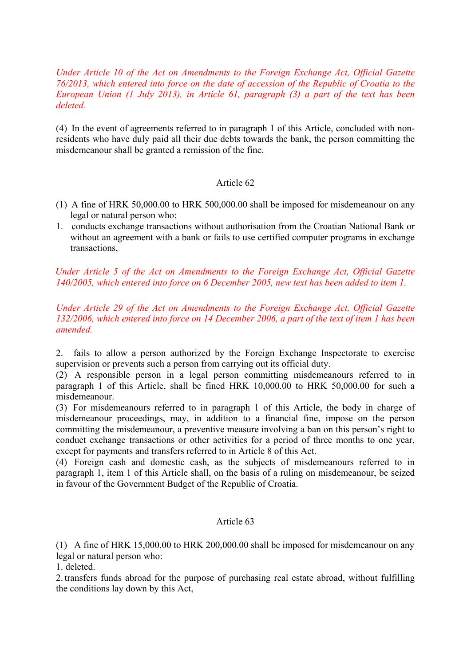*Under Article 10 of the Act on Amendments to the Foreign Exchange Act, Official Gazette 76/2013, which entered into force on the date of accession of the Republic of Croatia to the European Union (1 July 2013), in Article 61, paragraph (3) a part of the text has been deleted.*

(4) In the event of agreements referred to in paragraph 1 of this Article, concluded with nonresidents who have duly paid all their due debts towards the bank, the person committing the misdemeanour shall be granted a remission of the fine.

#### Article 62

- (1) A fine of HRK 50,000.00 to HRK 500,000.00 shall be imposed for misdemeanour on any legal or natural person who:
- 1. conducts exchange transactions without authorisation from the Croatian National Bank or without an agreement with a bank or fails to use certified computer programs in exchange transactions,

*Under Article 5 of the Act on Amendments to the Foreign Exchange Act, Official Gazette 140/2005, which entered into force on 6 December 2005, new text has been added to item 1.* 

*Under Article 29 of the Act on Amendments to the Foreign Exchange Act, Official Gazette 132/2006, which entered into force on 14 December 2006, a part of the text of item 1 has been amended.* 

2. fails to allow a person authorized by the Foreign Exchange Inspectorate to exercise supervision or prevents such a person from carrying out its official duty.

(2) A responsible person in a legal person committing misdemeanours referred to in paragraph 1 of this Article, shall be fined HRK 10,000.00 to HRK 50,000.00 for such a misdemeanour.

(3) For misdemeanours referred to in paragraph 1 of this Article, the body in charge of misdemeanour proceedings, may, in addition to a financial fine, impose on the person committing the misdemeanour, a preventive measure involving a ban on this person's right to conduct exchange transactions or other activities for a period of three months to one year, except for payments and transfers referred to in Article 8 of this Act.

(4) Foreign cash and domestic cash, as the subjects of misdemeanours referred to in paragraph 1, item 1 of this Article shall, on the basis of a ruling on misdemeanour, be seized in favour of the Government Budget of the Republic of Croatia.

#### Article 63

(1) A fine of HRK 15,000.00 to HRK 200,000.00 shall be imposed for misdemeanour on any legal or natural person who:

1. deleted.

2. transfers funds abroad for the purpose of purchasing real estate abroad, without fulfilling the conditions lay down by this Act,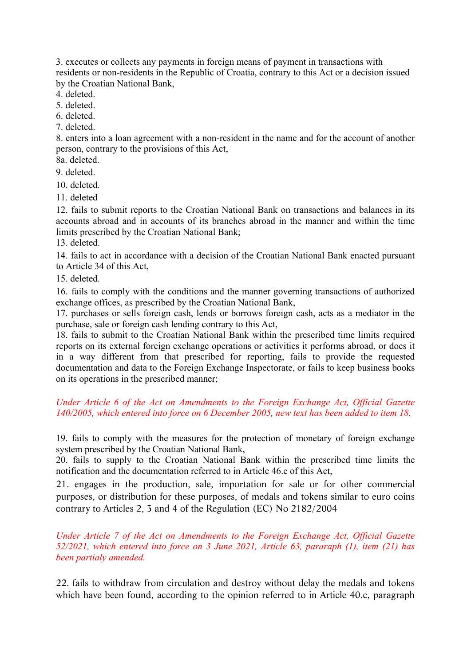3. executes or collects any payments in foreign means of payment in transactions with residents or non-residents in the Republic of Croatia, contrary to this Act or a decision issued by the Croatian National Bank,

4. deleted.

5. deleted.

6. deleted.

7. deleted.

8. enters into a loan agreement with a non-resident in the name and for the account of another person, contrary to the provisions of this Act,

8a. deleted.

9. deleted.

10. deleted.

11. deleted

12. fails to submit reports to the Croatian National Bank on transactions and balances in its accounts abroad and in accounts of its branches abroad in the manner and within the time limits prescribed by the Croatian National Bank;

13. deleted.

14. fails to act in accordance with a decision of the Croatian National Bank enacted pursuant to Article 34 of this Act,

15. deleted.

16. fails to comply with the conditions and the manner governing transactions of authorized exchange offices, as prescribed by the Croatian National Bank,

17. purchases or sells foreign cash, lends or borrows foreign cash, acts as a mediator in the purchase, sale or foreign cash lending contrary to this Act,

18. fails to submit to the Croatian National Bank within the prescribed time limits required reports on its external foreign exchange operations or activities it performs abroad, or does it in a way different from that prescribed for reporting, fails to provide the requested documentation and data to the Foreign Exchange Inspectorate, or fails to keep business books on its operations in the prescribed manner;

# *Under Article 6 of the Act on Amendments to the Foreign Exchange Act, Official Gazette 140/2005, which entered into force on 6 December 2005, new text has been added to item 18.*

19. fails to comply with the measures for the protection of monetary of foreign exchange system prescribed by the Croatian National Bank,

20. fails to supply to the Croatian National Bank within the prescribed time limits the notification and the documentation referred to in Article 46.e of this Act,

21. engages in the production, sale, importation for sale or for other commercial purposes, or distribution for these purposes, of medals and tokens similar to euro coins contrary to Articles 2, 3 and 4 of the Regulation (EC) No 2182/2004

*Under Article 7 of the Act on Amendments to the Foreign Exchange Act, Official Gazette 52/2021, which entered into force on 3 June 2021, Article 63, pararaph (1), item (21) has been partialy amended.* 

22. fails to withdraw from circulation and destroy without delay the medals and tokens which have been found, according to the opinion referred to in Article 40.c, paragraph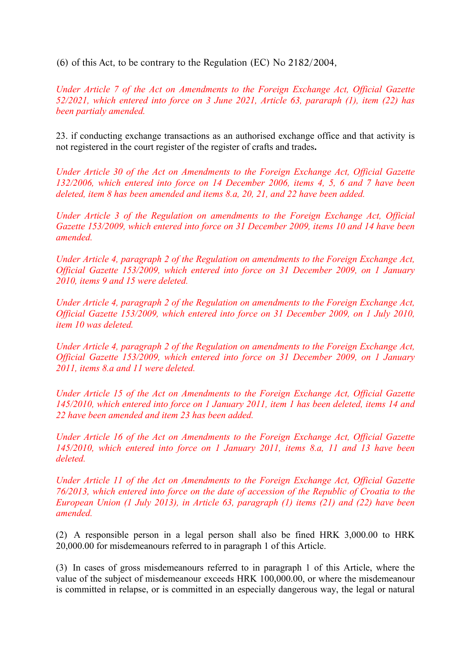(6) of this Act, to be contrary to the Regulation (EC) No 2182/2004,

*Under Article 7 of the Act on Amendments to the Foreign Exchange Act, Official Gazette 52/2021, which entered into force on 3 June 2021, Article 63, pararaph (1), item (22) has been partialy amended.* 

23. if conducting exchange transactions as an authorised exchange office and that activity is not registered in the court register of the register of crafts and trades**.** 

*Under Article 30 of the Act on Amendments to the Foreign Exchange Act, Official Gazette 132/2006, which entered into force on 14 December 2006, items 4, 5, 6 and 7 have been deleted, item 8 has been amended and items 8.a, 20, 21, and 22 have been added.* 

*Under Article 3 of the Regulation on amendments to the Foreign Exchange Act, Official Gazette 153/2009, which entered into force on 31 December 2009, items 10 and 14 have been amended.* 

*Under Article 4, paragraph 2 of the Regulation on amendments to the Foreign Exchange Act, Official Gazette 153/2009, which entered into force on 31 December 2009, on 1 January 2010, items 9 and 15 were deleted.* 

*Under Article 4, paragraph 2 of the Regulation on amendments to the Foreign Exchange Act, Official Gazette 153/2009, which entered into force on 31 December 2009, on 1 July 2010, item 10 was deleted.* 

*Under Article 4, paragraph 2 of the Regulation on amendments to the Foreign Exchange Act, Official Gazette 153/2009, which entered into force on 31 December 2009, on 1 January 2011, items 8.a and 11 were deleted.* 

*Under Article 15 of the Act on Amendments to the Foreign Exchange Act, Official Gazette 145/2010, which entered into force on 1 January 2011, item 1 has been deleted, items 14 and 22 have been amended and item 23 has been added.* 

*Under Article 16 of the Act on Amendments to the Foreign Exchange Act, Official Gazette 145/2010, which entered into force on 1 January 2011, items 8.a, 11 and 13 have been deleted.* 

*Under Article 11 of the Act on Amendments to the Foreign Exchange Act, Official Gazette 76/2013, which entered into force on the date of accession of the Republic of Croatia to the European Union (1 July 2013), in Article 63, paragraph (1) items (21) and (22) have been amended.*

(2) A responsible person in a legal person shall also be fined HRK 3,000.00 to HRK 20,000.00 for misdemeanours referred to in paragraph 1 of this Article.

(3) In cases of gross misdemeanours referred to in paragraph 1 of this Article, where the value of the subject of misdemeanour exceeds HRK 100,000.00, or where the misdemeanour is committed in relapse, or is committed in an especially dangerous way, the legal or natural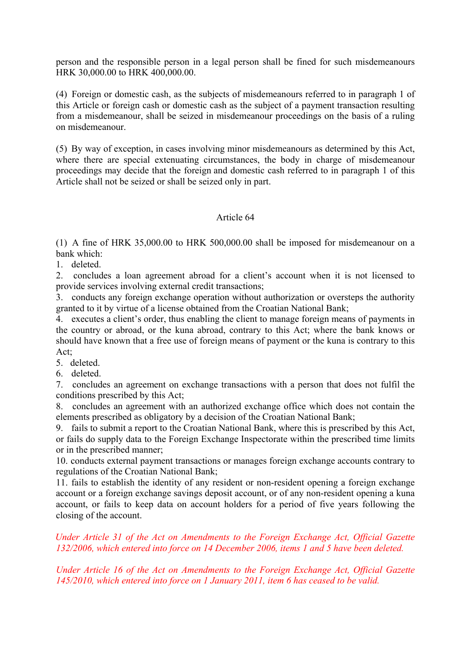person and the responsible person in a legal person shall be fined for such misdemeanours HRK 30,000.00 to HRK 400,000.00.

(4) Foreign or domestic cash, as the subjects of misdemeanours referred to in paragraph 1 of this Article or foreign cash or domestic cash as the subject of a payment transaction resulting from a misdemeanour, shall be seized in misdemeanour proceedings on the basis of a ruling on misdemeanour.

(5) By way of exception, in cases involving minor misdemeanours as determined by this Act, where there are special extenuating circumstances, the body in charge of misdemeanour proceedings may decide that the foreign and domestic cash referred to in paragraph 1 of this Article shall not be seized or shall be seized only in part.

#### Article 64

(1) A fine of HRK 35,000.00 to HRK 500,000.00 shall be imposed for misdemeanour on a bank which:

1. deleted.

2. concludes a loan agreement abroad for a client's account when it is not licensed to provide services involving external credit transactions;

3. conducts any foreign exchange operation without authorization or oversteps the authority granted to it by virtue of a license obtained from the Croatian National Bank;

4. executes a client's order, thus enabling the client to manage foreign means of payments in the country or abroad, or the kuna abroad, contrary to this Act; where the bank knows or should have known that a free use of foreign means of payment or the kuna is contrary to this Act;

5. deleted.

6. deleted.

7. concludes an agreement on exchange transactions with a person that does not fulfil the conditions prescribed by this Act;

8. concludes an agreement with an authorized exchange office which does not contain the elements prescribed as obligatory by a decision of the Croatian National Bank;

9. fails to submit a report to the Croatian National Bank, where this is prescribed by this Act, or fails do supply data to the Foreign Exchange Inspectorate within the prescribed time limits or in the prescribed manner;

10. conducts external payment transactions or manages foreign exchange accounts contrary to regulations of the Croatian National Bank;

11. fails to establish the identity of any resident or non-resident opening a foreign exchange account or a foreign exchange savings deposit account, or of any non-resident opening a kuna account, or fails to keep data on account holders for a period of five years following the closing of the account.

# *Under Article 31 of the Act on Amendments to the Foreign Exchange Act, Official Gazette 132/2006, which entered into force on 14 December 2006, items 1 and 5 have been deleted.*

*Under Article 16 of the Act on Amendments to the Foreign Exchange Act, Official Gazette 145/2010, which entered into force on 1 January 2011, item 6 has ceased to be valid.*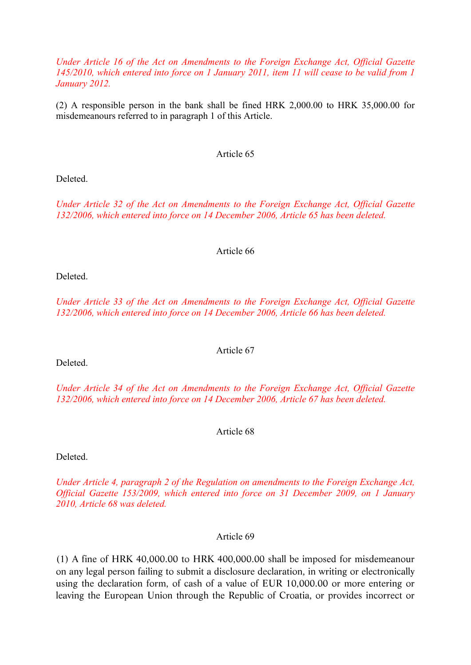*Under Article 16 of the Act on Amendments to the Foreign Exchange Act, Official Gazette 145/2010, which entered into force on 1 January 2011, item 11 will cease to be valid from 1 January 2012.* 

(2) A responsible person in the bank shall be fined HRK 2,000.00 to HRK 35,000.00 for misdemeanours referred to in paragraph 1 of this Article.

#### Article 65

Deleted.

*Under Article 32 of the Act on Amendments to the Foreign Exchange Act, Official Gazette 132/2006, which entered into force on 14 December 2006, Article 65 has been deleted.* 

#### Article 66

Deleted.

*Under Article 33 of the Act on Amendments to the Foreign Exchange Act, Official Gazette 132/2006, which entered into force on 14 December 2006, Article 66 has been deleted.* 

Deleted.

*Under Article 34 of the Act on Amendments to the Foreign Exchange Act, Official Gazette 132/2006, which entered into force on 14 December 2006, Article 67 has been deleted.* 

Article 68

Deleted.

*Under Article 4, paragraph 2 of the Regulation on amendments to the Foreign Exchange Act, Official Gazette 153/2009, which entered into force on 31 December 2009, on 1 January 2010, Article 68 was deleted.* 

Article 69

(1) A fine of HRK 40,000.00 to HRK 400,000.00 shall be imposed for misdemeanour on any legal person failing to submit a disclosure declaration, in writing or electronically using the declaration form, of cash of a value of EUR 10,000.00 or more entering or leaving the European Union through the Republic of Croatia, or provides incorrect or

Article 67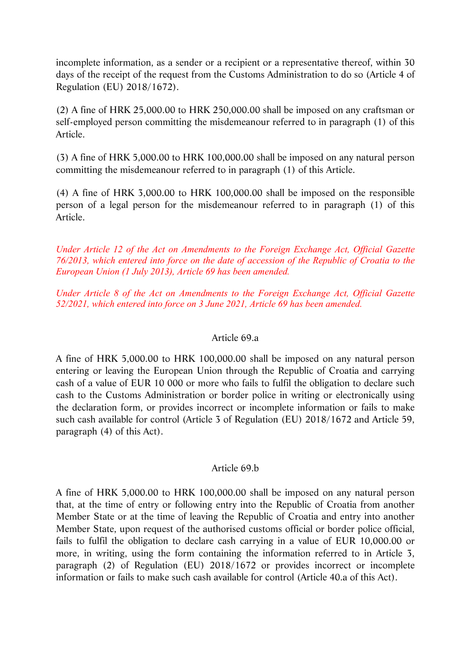incomplete information, as a sender or a recipient or a representative thereof, within 30 days of the receipt of the request from the Customs Administration to do so (Article 4 of Regulation (EU) 2018/1672).

(2) A fine of HRK 25,000.00 to HRK 250,000.00 shall be imposed on any craftsman or self-employed person committing the misdemeanour referred to in paragraph (1) of this Article.

(3) A fine of HRK 5,000.00 to HRK 100,000.00 shall be imposed on any natural person committing the misdemeanour referred to in paragraph (1) of this Article.

(4) A fine of HRK 3,000.00 to HRK 100,000.00 shall be imposed on the responsible person of a legal person for the misdemeanour referred to in paragraph (1) of this Article.

*Under Article 12 of the Act on Amendments to the Foreign Exchange Act, Official Gazette 76/2013, which entered into force on the date of accession of the Republic of Croatia to the European Union (1 July 2013), Article 69 has been amended.*

*Under Article 8 of the Act on Amendments to the Foreign Exchange Act, Official Gazette 52/2021, which entered into force on 3 June 2021, Article 69 has been amended.* 

# Article 69.a

A fine of HRK 5,000.00 to HRK 100,000.00 shall be imposed on any natural person entering or leaving the European Union through the Republic of Croatia and carrying cash of a value of EUR 10 000 or more who fails to fulfil the obligation to declare such cash to the Customs Administration or border police in writing or electronically using the declaration form, or provides incorrect or incomplete information or fails to make such cash available for control (Article 3 of Regulation (EU) 2018/1672 and Article 59, paragraph (4) of this Act).

# Article 69.b

A fine of HRK 5,000.00 to HRK 100,000.00 shall be imposed on any natural person that, at the time of entry or following entry into the Republic of Croatia from another Member State or at the time of leaving the Republic of Croatia and entry into another Member State, upon request of the authorised customs official or border police official, fails to fulfil the obligation to declare cash carrying in a value of EUR 10,000.00 or more, in writing, using the form containing the information referred to in Article 3, paragraph (2) of Regulation (EU) 2018/1672 or provides incorrect or incomplete information or fails to make such cash available for control (Article 40.a of this Act).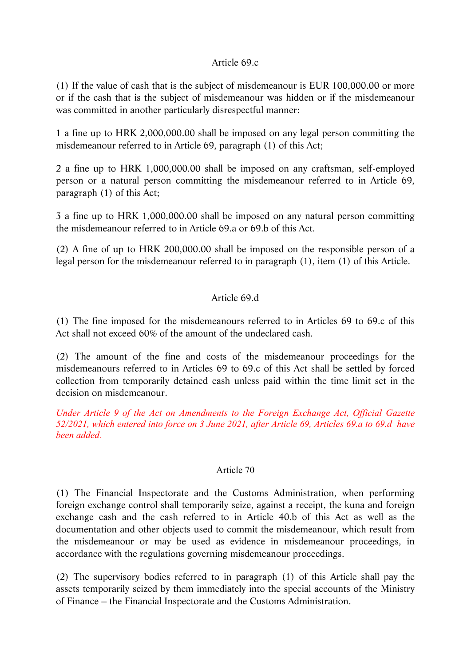# Article 69.c

(1) If the value of cash that is the subject of misdemeanour is EUR 100,000.00 or more or if the cash that is the subject of misdemeanour was hidden or if the misdemeanour was committed in another particularly disrespectful manner:

1 a fine up to HRK 2,000,000.00 shall be imposed on any legal person committing the misdemeanour referred to in Article 69, paragraph (1) of this Act;

2 a fine up to HRK 1,000,000.00 shall be imposed on any craftsman, self-employed person or a natural person committing the misdemeanour referred to in Article 69, paragraph (1) of this Act;

3 a fine up to HRK 1,000,000.00 shall be imposed on any natural person committing the misdemeanour referred to in Article 69.a or 69.b of this Act.

(2) A fine of up to HRK 200,000.00 shall be imposed on the responsible person of a legal person for the misdemeanour referred to in paragraph (1), item (1) of this Article.

# Article 69.d

(1) The fine imposed for the misdemeanours referred to in Articles 69 to 69.c of this Act shall not exceed 60% of the amount of the undeclared cash.

(2) The amount of the fine and costs of the misdemeanour proceedings for the misdemeanours referred to in Articles 69 to 69.c of this Act shall be settled by forced collection from temporarily detained cash unless paid within the time limit set in the decision on misdemeanour.

*Under Article 9 of the Act on Amendments to the Foreign Exchange Act, Official Gazette 52/2021, which entered into force on 3 June 2021, after Article 69, Articles 69.a to 69.d have been added.* 

# Article 70

(1) The Financial Inspectorate and the Customs Administration, when performing foreign exchange control shall temporarily seize, against a receipt, the kuna and foreign exchange cash and the cash referred to in Article 40.b of this Act as well as the documentation and other objects used to commit the misdemeanour, which result from the misdemeanour or may be used as evidence in misdemeanour proceedings, in accordance with the regulations governing misdemeanour proceedings.

(2) The supervisory bodies referred to in paragraph (1) of this Article shall pay the assets temporarily seized by them immediately into the special accounts of the Ministry of Finance – the Financial Inspectorate and the Customs Administration.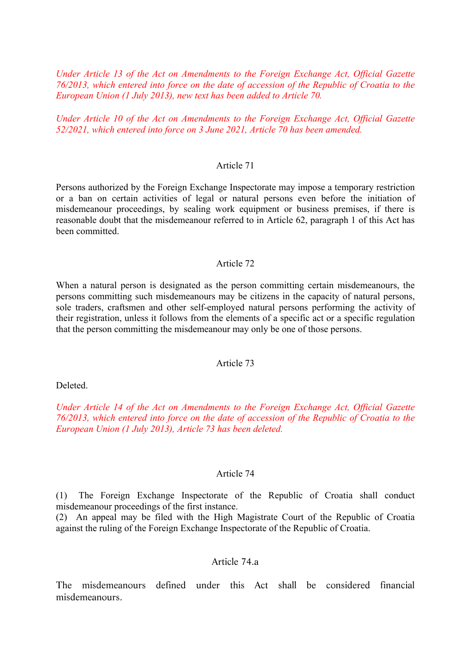*Under Article 13 of the Act on Amendments to the Foreign Exchange Act, Official Gazette 76/2013, which entered into force on the date of accession of the Republic of Croatia to the European Union (1 July 2013), new text has been added to Article 70.*

*Under Article 10 of the Act on Amendments to the Foreign Exchange Act, Official Gazette 52/2021, which entered into force on 3 June 2021, Article 70 has been amended.* 

#### Article 71

Persons authorized by the Foreign Exchange Inspectorate may impose a temporary restriction or a ban on certain activities of legal or natural persons even before the initiation of misdemeanour proceedings, by sealing work equipment or business premises, if there is reasonable doubt that the misdemeanour referred to in Article 62, paragraph 1 of this Act has been committed.

#### Article 72

When a natural person is designated as the person committing certain misdemeanours, the persons committing such misdemeanours may be citizens in the capacity of natural persons, sole traders, craftsmen and other self-employed natural persons performing the activity of their registration, unless it follows from the elements of a specific act or a specific regulation that the person committing the misdemeanour may only be one of those persons.

#### Article 73

Deleted.

*Under Article 14 of the Act on Amendments to the Foreign Exchange Act, Official Gazette 76/2013, which entered into force on the date of accession of the Republic of Croatia to the European Union (1 July 2013), Article 73 has been deleted.*

#### Article 74

(1) The Foreign Exchange Inspectorate of the Republic of Croatia shall conduct misdemeanour proceedings of the first instance.

(2) An appeal may be filed with the High Magistrate Court of the Republic of Croatia against the ruling of the Foreign Exchange Inspectorate of the Republic of Croatia.

#### Article 74.a

The misdemeanours defined under this Act shall be considered financial misdemeanours.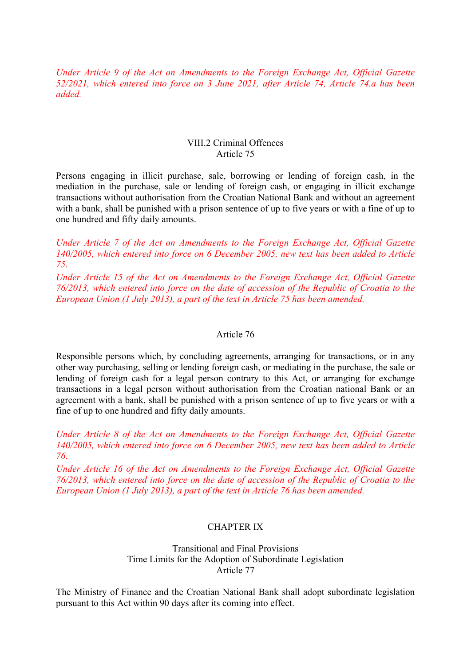*Under Article 9 of the Act on Amendments to the Foreign Exchange Act, Official Gazette 52/2021, which entered into force on 3 June 2021, after Article 74, Article 74.a has been added.* 

#### VIII.2 Criminal Offences Article 75

Persons engaging in illicit purchase, sale, borrowing or lending of foreign cash, in the mediation in the purchase, sale or lending of foreign cash, or engaging in illicit exchange transactions without authorisation from the Croatian National Bank and without an agreement with a bank, shall be punished with a prison sentence of up to five years or with a fine of up to one hundred and fifty daily amounts.

*Under Article 7 of the Act on Amendments to the Foreign Exchange Act, Official Gazette 140/2005, which entered into force on 6 December 2005, new text has been added to Article 75*.

*Under Article 15 of the Act on Amendments to the Foreign Exchange Act, Official Gazette 76/2013, which entered into force on the date of accession of the Republic of Croatia to the European Union (1 July 2013), a part of the text in Article 75 has been amended.*

#### Article 76

Responsible persons which, by concluding agreements, arranging for transactions, or in any other way purchasing, selling or lending foreign cash, or mediating in the purchase, the sale or lending of foreign cash for a legal person contrary to this Act, or arranging for exchange transactions in a legal person without authorisation from the Croatian national Bank or an agreement with a bank, shall be punished with a prison sentence of up to five years or with a fine of up to one hundred and fifty daily amounts.

*Under Article 8 of the Act on Amendments to the Foreign Exchange Act, Official Gazette 140/2005, which entered into force on 6 December 2005, new text has been added to Article 76*.

*Under Article 16 of the Act on Amendments to the Foreign Exchange Act, Official Gazette 76/2013, which entered into force on the date of accession of the Republic of Croatia to the European Union (1 July 2013), a part of the text in Article 76 has been amended.*

#### CHAPTER IX

Transitional and Final Provisions Time Limits for the Adoption of Subordinate Legislation Article 77

The Ministry of Finance and the Croatian National Bank shall adopt subordinate legislation pursuant to this Act within 90 days after its coming into effect.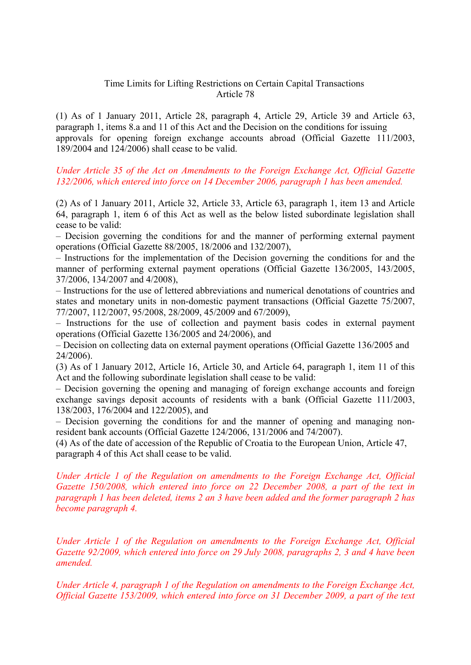### Time Limits for Lifting Restrictions on Certain Capital Transactions Article 78

(1) As of 1 January 2011, Article 28, paragraph 4, Article 29, Article 39 and Article 63, paragraph 1, items 8.a and 11 of this Act and the Decision on the conditions for issuing approvals for opening foreign exchange accounts abroad (Official Gazette 111/2003, 189/2004 and 124/2006) shall cease to be valid.

#### *Under Article 35 of the Act on Amendments to the Foreign Exchange Act, Official Gazette 132/2006, which entered into force on 14 December 2006, paragraph 1 has been amended.*

(2) As of 1 January 2011, Article 32, Article 33, Article 63, paragraph 1, item 13 and Article 64, paragraph 1, item 6 of this Act as well as the below listed subordinate legislation shall cease to be valid:

– Decision governing the conditions for and the manner of performing external payment operations (Official Gazette 88/2005, 18/2006 and 132/2007),

– Instructions for the implementation of the Decision governing the conditions for and the manner of performing external payment operations (Official Gazette 136/2005, 143/2005, 37/2006, 134/2007 and 4/2008),

– Instructions for the use of lettered abbreviations and numerical denotations of countries and states and monetary units in non-domestic payment transactions (Official Gazette 75/2007, 77/2007, 112/2007, 95/2008, 28/2009, 45/2009 and 67/2009),

– Instructions for the use of collection and payment basis codes in external payment operations (Official Gazette 136/2005 and 24/2006), and

– Decision on collecting data on external payment operations (Official Gazette 136/2005 and 24/2006).

(3) As of 1 January 2012, Article 16, Article 30, and Article 64, paragraph 1, item 11 of this Act and the following subordinate legislation shall cease to be valid:

– Decision governing the opening and managing of foreign exchange accounts and foreign exchange savings deposit accounts of residents with a bank (Official Gazette 111/2003, 138/2003, 176/2004 and 122/2005), and

– Decision governing the conditions for and the manner of opening and managing nonresident bank accounts (Official Gazette 124/2006, 131/2006 and 74/2007).

(4) As of the date of accession of the Republic of Croatia to the European Union, Article 47, paragraph 4 of this Act shall cease to be valid.

*Under Article 1 of the Regulation on amendments to the Foreign Exchange Act, Official Gazette 150/2008, which entered into force on 22 December 2008, a part of the text in paragraph 1 has been deleted, items 2 an 3 have been added and the former paragraph 2 has become paragraph 4.* 

*Under Article 1 of the Regulation on amendments to the Foreign Exchange Act, Official Gazette 92/2009, which entered into force on 29 July 2008, paragraphs 2, 3 and 4 have been amended.* 

*Under Article 4, paragraph 1 of the Regulation on amendments to the Foreign Exchange Act, Official Gazette 153/2009, which entered into force on 31 December 2009, a part of the text*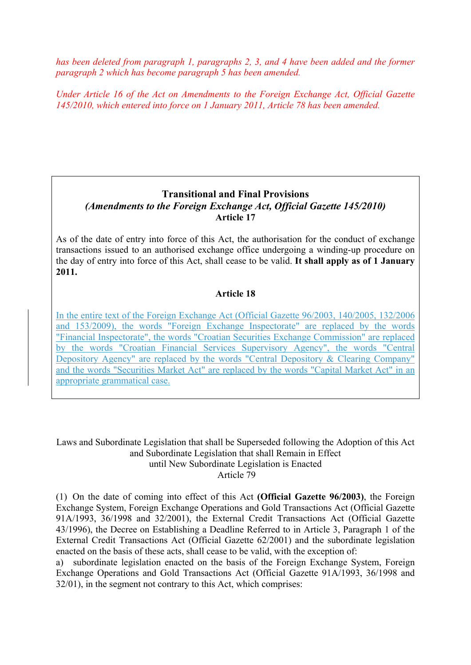*has been deleted from paragraph 1, paragraphs 2, 3, and 4 have been added and the former paragraph 2 which has become paragraph 5 has been amended.* 

*Under Article 16 of the Act on Amendments to the Foreign Exchange Act, Official Gazette 145/2010, which entered into force on 1 January 2011, Article 78 has been amended.*

# **Transitional and Final Provisions**  *(Amendments to the Foreign Exchange Act, Official Gazette 145/2010)*  **Article 17**

As of the date of entry into force of this Act, the authorisation for the conduct of exchange transactions issued to an authorised exchange office undergoing a winding-up procedure on the day of entry into force of this Act, shall cease to be valid. **It shall apply as of 1 January 2011.** 

# **Article 18**

In the entire text of the Foreign Exchange Act (Official Gazette 96/2003, 140/2005, 132/2006 and 153/2009), the words "Foreign Exchange Inspectorate" are replaced by the words "Financial Inspectorate", the words "Croatian Securities Exchange Commission" are replaced by the words "Croatian Financial Services Supervisory Agency", the words "Central Depository Agency" are replaced by the words "Central Depository & Clearing Company" and the words "Securities Market Act" are replaced by the words "Capital Market Act" in an appropriate grammatical case.

Laws and Subordinate Legislation that shall be Superseded following the Adoption of this Act and Subordinate Legislation that shall Remain in Effect until New Subordinate Legislation is Enacted Article 79

(1) On the date of coming into effect of this Act **(Official Gazette 96/2003)**, the Foreign Exchange System, Foreign Exchange Operations and Gold Transactions Act (Official Gazette 91A/1993, 36/1998 and 32/2001), the External Credit Transactions Act (Official Gazette 43/1996), the Decree on Establishing a Deadline Referred to in Article 3, Paragraph 1 of the External Credit Transactions Act (Official Gazette 62/2001) and the subordinate legislation enacted on the basis of these acts, shall cease to be valid, with the exception of:

a) subordinate legislation enacted on the basis of the Foreign Exchange System, Foreign Exchange Operations and Gold Transactions Act (Official Gazette 91A/1993, 36/1998 and 32/01), in the segment not contrary to this Act, which comprises: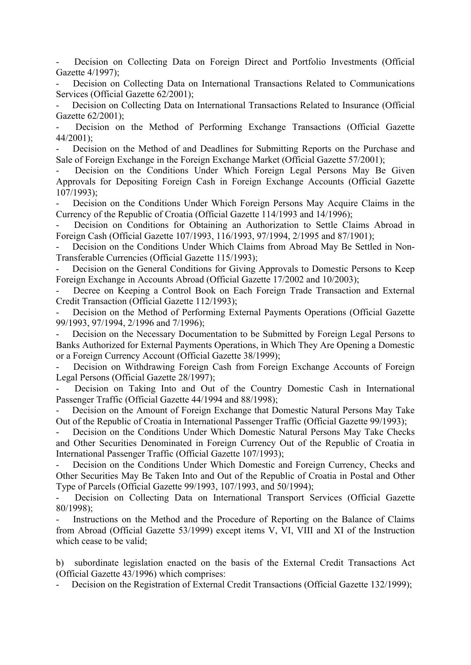Decision on Collecting Data on Foreign Direct and Portfolio Investments (Official Gazette 4/1997);

Decision on Collecting Data on International Transactions Related to Communications Services (Official Gazette 62/2001);

Decision on Collecting Data on International Transactions Related to Insurance (Official Gazette 62/2001);

Decision on the Method of Performing Exchange Transactions (Official Gazette 44/2001);

Decision on the Method of and Deadlines for Submitting Reports on the Purchase and Sale of Foreign Exchange in the Foreign Exchange Market (Official Gazette 57/2001);

Decision on the Conditions Under Which Foreign Legal Persons May Be Given Approvals for Depositing Foreign Cash in Foreign Exchange Accounts (Official Gazette 107/1993);

Decision on the Conditions Under Which Foreign Persons May Acquire Claims in the Currency of the Republic of Croatia (Official Gazette 114/1993 and 14/1996);

Decision on Conditions for Obtaining an Authorization to Settle Claims Abroad in Foreign Cash (Official Gazette 107/1993, 116/1993, 97/1994, 2/1995 and 87/1901);

Decision on the Conditions Under Which Claims from Abroad May Be Settled in Non-Transferable Currencies (Official Gazette 115/1993);

Decision on the General Conditions for Giving Approvals to Domestic Persons to Keep Foreign Exchange in Accounts Abroad (Official Gazette 17/2002 and 10/2003);

Decree on Keeping a Control Book on Each Foreign Trade Transaction and External Credit Transaction (Official Gazette 112/1993);

Decision on the Method of Performing External Payments Operations (Official Gazette 99/1993, 97/1994, 2/1996 and 7/1996);

Decision on the Necessary Documentation to be Submitted by Foreign Legal Persons to Banks Authorized for External Payments Operations, in Which They Are Opening a Domestic or a Foreign Currency Account (Official Gazette 38/1999);

Decision on Withdrawing Foreign Cash from Foreign Exchange Accounts of Foreign Legal Persons (Official Gazette 28/1997);

Decision on Taking Into and Out of the Country Domestic Cash in International Passenger Traffic (Official Gazette 44/1994 and 88/1998);

Decision on the Amount of Foreign Exchange that Domestic Natural Persons May Take Out of the Republic of Croatia in International Passenger Traffic (Official Gazette 99/1993);

Decision on the Conditions Under Which Domestic Natural Persons May Take Checks and Other Securities Denominated in Foreign Currency Out of the Republic of Croatia in International Passenger Traffic (Official Gazette 107/1993);

Decision on the Conditions Under Which Domestic and Foreign Currency, Checks and Other Securities May Be Taken Into and Out of the Republic of Croatia in Postal and Other Type of Parcels (Official Gazette 99/1993, 107/1993, and 50/1994);

Decision on Collecting Data on International Transport Services (Official Gazette 80/1998);

Instructions on the Method and the Procedure of Reporting on the Balance of Claims from Abroad (Official Gazette 53/1999) except items V, VI, VIII and XI of the Instruction which cease to be valid;

b) subordinate legislation enacted on the basis of the External Credit Transactions Act (Official Gazette 43/1996) which comprises:

Decision on the Registration of External Credit Transactions (Official Gazette 132/1999);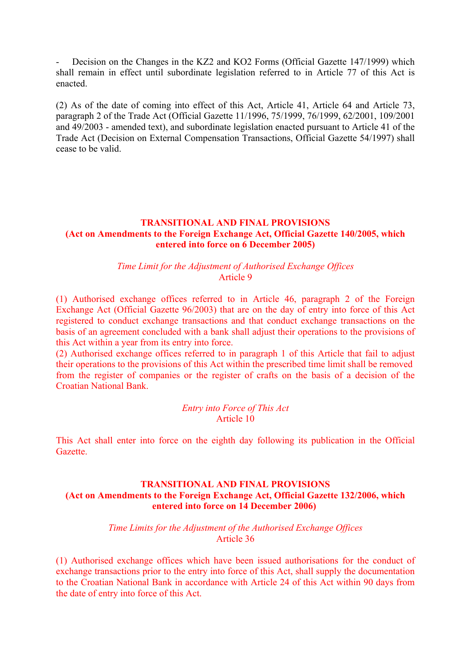Decision on the Changes in the KZ2 and KO2 Forms (Official Gazette 147/1999) which shall remain in effect until subordinate legislation referred to in Article 77 of this Act is enacted.

(2) As of the date of coming into effect of this Act, Article 41, Article 64 and Article 73, paragraph 2 of the Trade Act (Official Gazette 11/1996, 75/1999, 76/1999, 62/2001, 109/2001 and 49/2003 - amended text), and subordinate legislation enacted pursuant to Article 41 of the Trade Act (Decision on External Compensation Transactions, Official Gazette 54/1997) shall cease to be valid.

# **TRANSITIONAL AND FINAL PROVISIONS (Act on Amendments to the Foreign Exchange Act, Official Gazette 140/2005, which entered into force on 6 December 2005)**

#### *Time Limit for the Adjustment of Authorised Exchange Offices*  Article 9

(1) Authorised exchange offices referred to in Article 46, paragraph 2 of the Foreign Exchange Act (Official Gazette 96/2003) that are on the day of entry into force of this Act registered to conduct exchange transactions and that conduct exchange transactions on the basis of an agreement concluded with a bank shall adjust their operations to the provisions of this Act within a year from its entry into force.

(2) Authorised exchange offices referred to in paragraph 1 of this Article that fail to adjust their operations to the provisions of this Act within the prescribed time limit shall be removed from the register of companies or the register of crafts on the basis of a decision of the Croatian National Bank.

> *Entry into Force of This Act*  Article 10

This Act shall enter into force on the eighth day following its publication in the Official Gazette.

# **TRANSITIONAL AND FINAL PROVISIONS (Act on Amendments to the Foreign Exchange Act, Official Gazette 132/2006, which entered into force on 14 December 2006)**

#### *Time Limits for the Adjustment of the Authorised Exchange Offices* Article 36

(1) Authorised exchange offices which have been issued authorisations for the conduct of exchange transactions prior to the entry into force of this Act, shall supply the documentation to the Croatian National Bank in accordance with Article 24 of this Act within 90 days from the date of entry into force of this Act.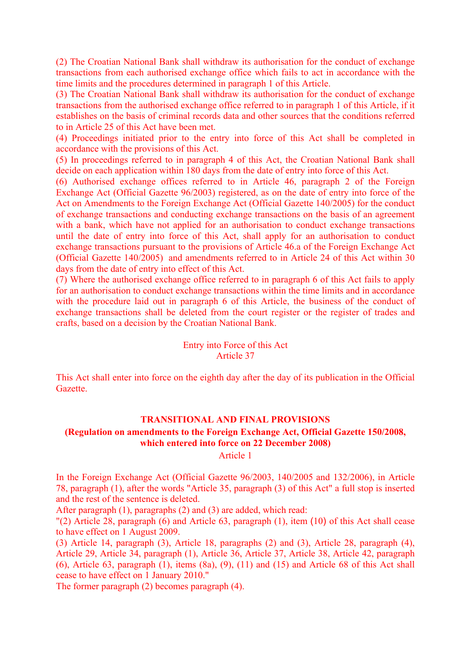(2) The Croatian National Bank shall withdraw its authorisation for the conduct of exchange transactions from each authorised exchange office which fails to act in accordance with the time limits and the procedures determined in paragraph 1 of this Article.

(3) The Croatian National Bank shall withdraw its authorisation for the conduct of exchange transactions from the authorised exchange office referred to in paragraph 1 of this Article, if it establishes on the basis of criminal records data and other sources that the conditions referred to in Article 25 of this Act have been met.

(4) Proceedings initiated prior to the entry into force of this Act shall be completed in accordance with the provisions of this Act.

(5) In proceedings referred to in paragraph 4 of this Act, the Croatian National Bank shall decide on each application within 180 days from the date of entry into force of this Act.

(6) Authorised exchange offices referred to in Article 46, paragraph 2 of the Foreign Exchange Act (Official Gazette 96/2003) registered, as on the date of entry into force of the Act on Amendments to the Foreign Exchange Act (Official Gazette 140/2005) for the conduct of exchange transactions and conducting exchange transactions on the basis of an agreement with a bank, which have not applied for an authorisation to conduct exchange transactions until the date of entry into force of this Act, shall apply for an authorisation to conduct exchange transactions pursuant to the provisions of Article 46.a of the Foreign Exchange Act (Official Gazette 140/2005) and amendments referred to in Article 24 of this Act within 30 days from the date of entry into effect of this Act.

(7) Where the authorised exchange office referred to in paragraph 6 of this Act fails to apply for an authorisation to conduct exchange transactions within the time limits and in accordance with the procedure laid out in paragraph 6 of this Article, the business of the conduct of exchange transactions shall be deleted from the court register or the register of trades and crafts, based on a decision by the Croatian National Bank.

#### Entry into Force of this Act Article 37

This Act shall enter into force on the eighth day after the day of its publication in the Official Gazette.

#### **TRANSITIONAL AND FINAL PROVISIONS**

# **(Regulation on amendments to the Foreign Exchange Act, Official Gazette 150/2008, which entered into force on 22 December 2008)**

Article 1

In the Foreign Exchange Act (Official Gazette 96/2003, 140/2005 and 132/2006), in Article 78, paragraph (1), after the words "Article 35, paragraph (3) of this Act" a full stop is inserted and the rest of the sentence is deleted.

After paragraph (1), paragraphs (2) and (3) are added, which read:

"(2) Article 28, paragraph (6) and Article 63, paragraph (1), item (10) of this Act shall cease to have effect on 1 August 2009.

(3) Article 14, paragraph (3), Article 18, paragraphs (2) and (3), Article 28, paragraph (4), Article 29, Article 34, paragraph (1), Article 36, Article 37, Article 38, Article 42, paragraph (6), Article 63, paragraph (1), items (8a), (9), (11) and (15) and Article 68 of this Act shall cease to have effect on 1 January 2010."

The former paragraph (2) becomes paragraph (4).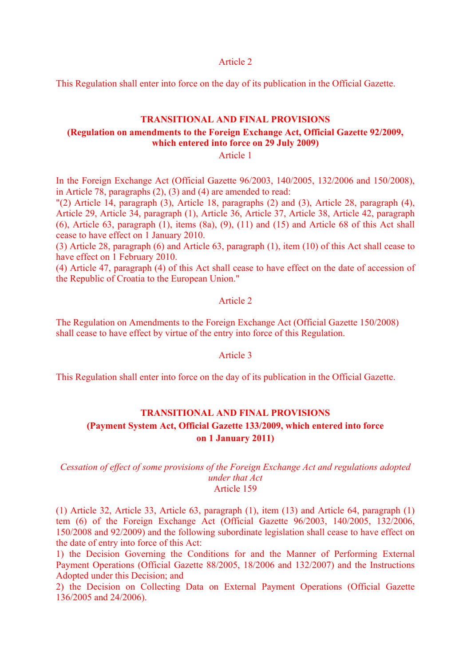Article 2

This Regulation shall enter into force on the day of its publication in the Official Gazette.

# **TRANSITIONAL AND FINAL PROVISIONS (Regulation on amendments to the Foreign Exchange Act, Official Gazette 92/2009, which entered into force on 29 July 2009)**

Article 1

In the Foreign Exchange Act (Official Gazette 96/2003, 140/2005, 132/2006 and 150/2008), in Article 78, paragraphs (2), (3) and (4) are amended to read:

"(2) Article 14, paragraph (3), Article 18, paragraphs (2) and (3), Article 28, paragraph (4), Article 29, Article 34, paragraph (1), Article 36, Article 37, Article 38, Article 42, paragraph (6), Article 63, paragraph (1), items (8a), (9), (11) and (15) and Article 68 of this Act shall cease to have effect on 1 January 2010.

(3) Article 28, paragraph (6) and Article 63, paragraph (1), item (10) of this Act shall cease to have effect on 1 February 2010.

(4) Article 47, paragraph (4) of this Act shall cease to have effect on the date of accession of the Republic of Croatia to the European Union."

#### Article 2

The Regulation on Amendments to the Foreign Exchange Act (Official Gazette 150/2008) shall cease to have effect by virtue of the entry into force of this Regulation.

#### Article 3

This Regulation shall enter into force on the day of its publication in the Official Gazette.

# **TRANSITIONAL AND FINAL PROVISIONS (Payment System Act, Official Gazette 133/2009, which entered into force on 1 January 2011)**

#### *Cessation of effect of some provisions of the Foreign Exchange Act and regulations adopted under that Act*  Article 159

(1) Article 32, Article 33, Article 63, paragraph (1), item (13) and Article 64, paragraph (1) tem (6) of the Foreign Exchange Act (Official Gazette 96/2003, 140/2005, 132/2006, 150/2008 and 92/2009) and the following subordinate legislation shall cease to have effect on the date of entry into force of this Act:

1) the Decision Governing the Conditions for and the Manner of Performing External Payment Operations (Official Gazette 88/2005, 18/2006 and 132/2007) and the Instructions Adopted under this Decision; and

2) the Decision on Collecting Data on External Payment Operations (Official Gazette 136/2005 and 24/2006).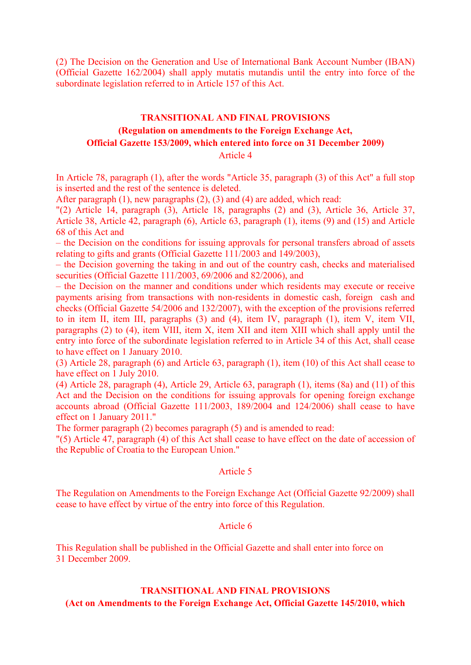(2) The Decision on the Generation and Use of International Bank Account Number (IBAN) (Official Gazette 162/2004) shall apply mutatis mutandis until the entry into force of the subordinate legislation referred to in Article 157 of this Act.

# **TRANSITIONAL AND FINAL PROVISIONS (Regulation on amendments to the Foreign Exchange Act, Official Gazette 153/2009, which entered into force on 31 December 2009)**

Article 4

In Article 78, paragraph (1), after the words "Article 35, paragraph (3) of this Act" a full stop is inserted and the rest of the sentence is deleted.

After paragraph (1), new paragraphs (2), (3) and (4) are added, which read:

"(2) Article 14, paragraph (3), Article 18, paragraphs (2) and (3), Article 36, Article 37, Article 38, Article 42, paragraph (6), Article 63, paragraph (1), items (9) and (15) and Article 68 of this Act and

– the Decision on the conditions for issuing approvals for personal transfers abroad of assets relating to gifts and grants (Official Gazette 111/2003 and 149/2003),

– the Decision governing the taking in and out of the country cash, checks and materialised securities (Official Gazette 111/2003, 69/2006 and 82/2006), and

– the Decision on the manner and conditions under which residents may execute or receive payments arising from transactions with non-residents in domestic cash, foreign cash and checks (Official Gazette 54/2006 and 132/2007), with the exception of the provisions referred to in item II, item III, paragraphs (3) and (4), item IV, paragraph (1), item V, item VII, paragraphs (2) to (4), item VIII, item X, item XII and item XIII which shall apply until the entry into force of the subordinate legislation referred to in Article 34 of this Act, shall cease to have effect on 1 January 2010.

(3) Article 28, paragraph (6) and Article 63, paragraph (1), item (10) of this Act shall cease to have effect on 1 July 2010.

(4) Article 28, paragraph (4), Article 29, Article 63, paragraph (1), items (8a) and (11) of this Act and the Decision on the conditions for issuing approvals for opening foreign exchange accounts abroad (Official Gazette 111/2003, 189/2004 and 124/2006) shall cease to have effect on 1 January 2011."

The former paragraph (2) becomes paragraph (5) and is amended to read:

"(5) Article 47, paragraph (4) of this Act shall cease to have effect on the date of accession of the Republic of Croatia to the European Union."

#### Article 5

The Regulation on Amendments to the Foreign Exchange Act (Official Gazette 92/2009) shall cease to have effect by virtue of the entry into force of this Regulation.

#### Article 6

This Regulation shall be published in the Official Gazette and shall enter into force on 31 December 2009.

# **TRANSITIONAL AND FINAL PROVISIONS**

**(Act on Amendments to the Foreign Exchange Act, Official Gazette 145/2010, which**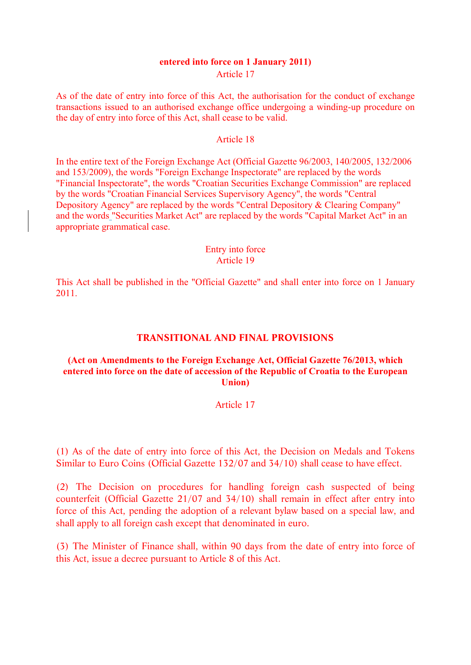#### **entered into force on 1 January 2011)**  Article 17

As of the date of entry into force of this Act, the authorisation for the conduct of exchange transactions issued to an authorised exchange office undergoing a winding-up procedure on the day of entry into force of this Act, shall cease to be valid.

#### Article 18

In the entire text of the Foreign Exchange Act (Official Gazette 96/2003, 140/2005, 132/2006 and 153/2009), the words "Foreign Exchange Inspectorate" are replaced by the words "Financial Inspectorate", the words "Croatian Securities Exchange Commission" are replaced by the words "Croatian Financial Services Supervisory Agency", the words "Central Depository Agency" are replaced by the words "Central Depository & Clearing Company" and the words "Securities Market Act" are replaced by the words "Capital Market Act" in an appropriate grammatical case.

#### Entry into force Article 19

This Act shall be published in the "Official Gazette" and shall enter into force on 1 January 2011.

# **TRANSITIONAL AND FINAL PROVISIONS**

#### **(Act on Amendments to the Foreign Exchange Act, Official Gazette 76/2013, which entered into force on the date of accession of the Republic of Croatia to the European Union)**

#### Article 17

(1) As of the date of entry into force of this Act, the Decision on Medals and Tokens Similar to Euro Coins (Official Gazette 132/07 and 34/10) shall cease to have effect.

(2) The Decision on procedures for handling foreign cash suspected of being counterfeit (Official Gazette 21/07 and 34/10) shall remain in effect after entry into force of this Act, pending the adoption of a relevant bylaw based on a special law, and shall apply to all foreign cash except that denominated in euro.

(3) The Minister of Finance shall, within 90 days from the date of entry into force of this Act, issue a decree pursuant to Article 8 of this Act.